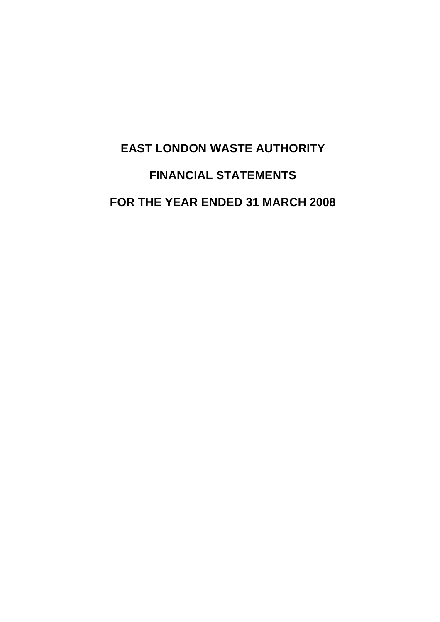# **EAST LONDON WASTE AUTHORITY FINANCIAL STATEMENTS FOR THE YEAR ENDED 31 MARCH 2008**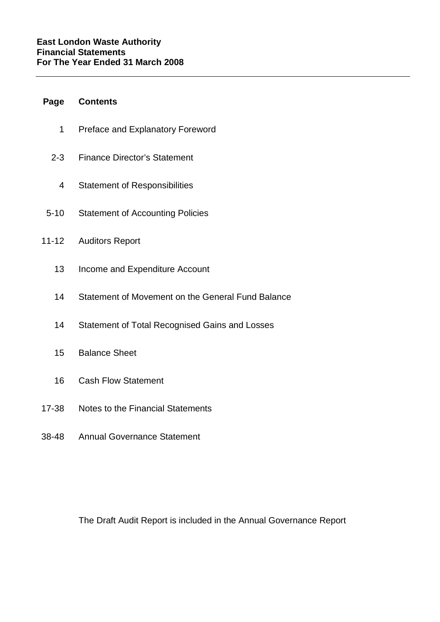# **Page Contents**

- 1 Preface and Explanatory Foreword
- 2-3 Finance Director's Statement
	- 4 Statement of Responsibilities
- 5-10 Statement of Accounting Policies
- 11-12 Auditors Report
	- 13 Income and Expenditure Account
	- 14 Statement of Movement on the General Fund Balance
	- 14 Statement of Total Recognised Gains and Losses
	- 15 Balance Sheet
	- 16 Cash Flow Statement
- 17-38 Notes to the Financial Statements
- 38-48 Annual Governance Statement

The Draft Audit Report is included in the Annual Governance Report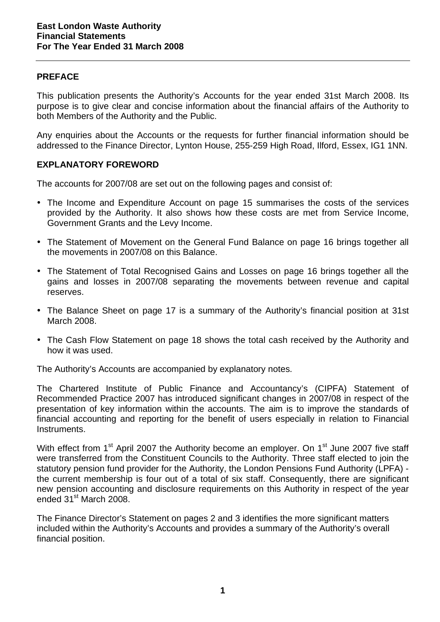## **PREFACE**

This publication presents the Authority's Accounts for the year ended 31st March 2008. Its purpose is to give clear and concise information about the financial affairs of the Authority to both Members of the Authority and the Public.

Any enquiries about the Accounts or the requests for further financial information should be addressed to the Finance Director, Lynton House, 255-259 High Road, Ilford, Essex, IG1 1NN.

## **EXPLANATORY FOREWORD**

The accounts for 2007/08 are set out on the following pages and consist of:

- The Income and Expenditure Account on page 15 summarises the costs of the services provided by the Authority. It also shows how these costs are met from Service Income, Government Grants and the Levy Income.
- The Statement of Movement on the General Fund Balance on page 16 brings together all the movements in 2007/08 on this Balance.
- The Statement of Total Recognised Gains and Losses on page 16 brings together all the gains and losses in 2007/08 separating the movements between revenue and capital reserves.
- The Balance Sheet on page 17 is a summary of the Authority's financial position at 31st March 2008.
- The Cash Flow Statement on page 18 shows the total cash received by the Authority and how it was used.

The Authority's Accounts are accompanied by explanatory notes.

The Chartered Institute of Public Finance and Accountancy's (CIPFA) Statement of Recommended Practice 2007 has introduced significant changes in 2007/08 in respect of the presentation of key information within the accounts. The aim is to improve the standards of financial accounting and reporting for the benefit of users especially in relation to Financial Instruments.

With effect from 1<sup>st</sup> April 2007 the Authority become an employer. On 1<sup>st</sup> June 2007 five staff were transferred from the Constituent Councils to the Authority. Three staff elected to join the statutory pension fund provider for the Authority, the London Pensions Fund Authority (LPFA) the current membership is four out of a total of six staff. Consequently, there are significant new pension accounting and disclosure requirements on this Authority in respect of the year ended 31<sup>st</sup> March 2008.

The Finance Director's Statement on pages 2 and 3 identifies the more significant matters included within the Authority's Accounts and provides a summary of the Authority's overall financial position.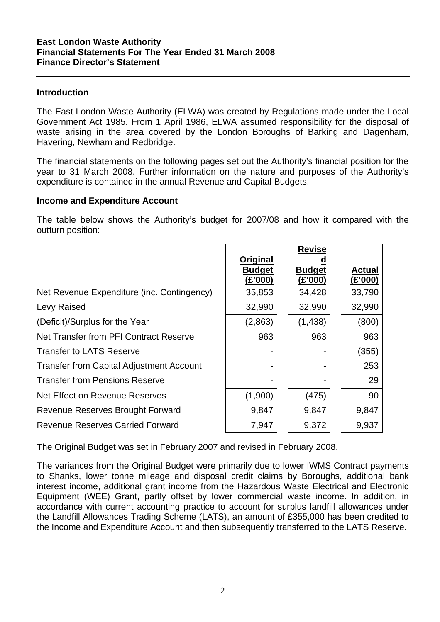#### **Introduction**

The East London Waste Authority (ELWA) was created by Regulations made under the Local Government Act 1985. From 1 April 1986, ELWA assumed responsibility for the disposal of waste arising in the area covered by the London Boroughs of Barking and Dagenham, Havering, Newham and Redbridge.

The financial statements on the following pages set out the Authority's financial position for the year to 31 March 2008. Further information on the nature and purposes of the Authority's expenditure is contained in the annual Revenue and Capital Budgets.

#### **Income and Expenditure Account**

The table below shows the Authority's budget for 2007/08 and how it compared with the outturn position:

|                                                 | Original<br><b>Budget</b><br>(E'000) | <b>Revise</b><br><b>Budget</b><br>(E'000) | <b>Actual</b><br>(E'000) |
|-------------------------------------------------|--------------------------------------|-------------------------------------------|--------------------------|
| Net Revenue Expenditure (inc. Contingency)      | 35,853                               | 34,428                                    | 33,790                   |
| Levy Raised                                     | 32,990                               | 32,990                                    | 32,990                   |
| (Deficit)/Surplus for the Year                  | (2,863)                              | (1,438)                                   | (800)                    |
| Net Transfer from PFI Contract Reserve          | 963                                  | 963                                       | 963                      |
| <b>Transfer to LATS Reserve</b>                 |                                      |                                           | (355)                    |
| <b>Transfer from Capital Adjustment Account</b> |                                      |                                           | 253                      |
| <b>Transfer from Pensions Reserve</b>           |                                      |                                           | 29                       |
| Net Effect on Revenue Reserves                  | (1,900)                              | (475)                                     | 90                       |
| Revenue Reserves Brought Forward                | 9,847                                | 9,847                                     | 9,847                    |
| <b>Revenue Reserves Carried Forward</b>         | 7,947                                | 9,372                                     | 9,937                    |

The Original Budget was set in February 2007 and revised in February 2008.

The variances from the Original Budget were primarily due to lower IWMS Contract payments to Shanks, lower tonne mileage and disposal credit claims by Boroughs, additional bank interest income, additional grant income from the Hazardous Waste Electrical and Electronic Equipment (WEE) Grant, partly offset by lower commercial waste income. In addition, in accordance with current accounting practice to account for surplus landfill allowances under the Landfill Allowances Trading Scheme (LATS), an amount of £355,000 has been credited to the Income and Expenditure Account and then subsequently transferred to the LATS Reserve.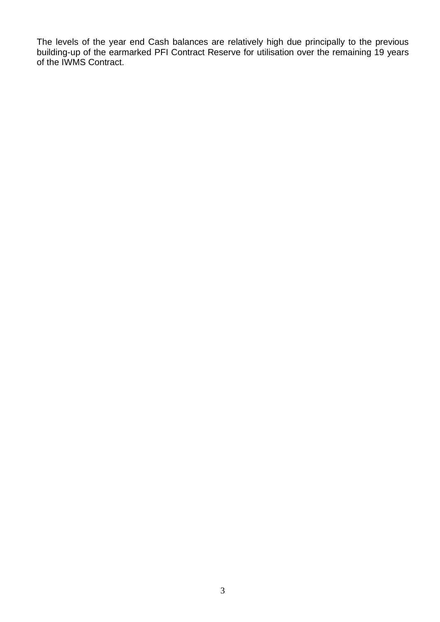The levels of the year end Cash balances are relatively high due principally to the previous building-up of the earmarked PFI Contract Reserve for utilisation over the remaining 19 years of the IWMS Contract.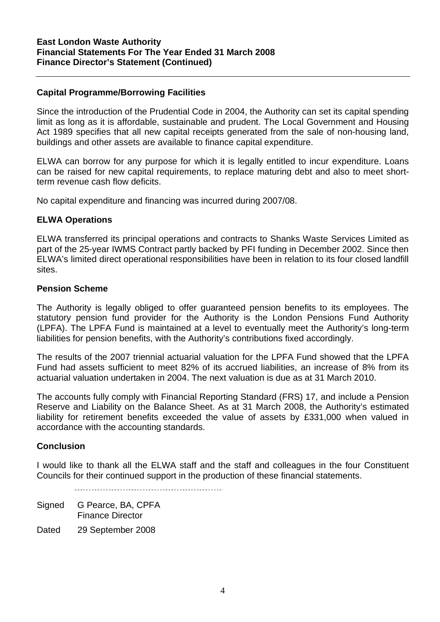# **Capital Programme/Borrowing Facilities**

Since the introduction of the Prudential Code in 2004, the Authority can set its capital spending limit as long as it is affordable, sustainable and prudent. The Local Government and Housing Act 1989 specifies that all new capital receipts generated from the sale of non-housing land, buildings and other assets are available to finance capital expenditure.

ELWA can borrow for any purpose for which it is legally entitled to incur expenditure. Loans can be raised for new capital requirements, to replace maturing debt and also to meet shortterm revenue cash flow deficits.

No capital expenditure and financing was incurred during 2007/08.

## **ELWA Operations**

ELWA transferred its principal operations and contracts to Shanks Waste Services Limited as part of the 25-year IWMS Contract partly backed by PFI funding in December 2002. Since then ELWA's limited direct operational responsibilities have been in relation to its four closed landfill sites.

## **Pension Scheme**

The Authority is legally obliged to offer guaranteed pension benefits to its employees. The statutory pension fund provider for the Authority is the London Pensions Fund Authority (LPFA). The LPFA Fund is maintained at a level to eventually meet the Authority's long-term liabilities for pension benefits, with the Authority's contributions fixed accordingly.

The results of the 2007 triennial actuarial valuation for the LPFA Fund showed that the LPFA Fund had assets sufficient to meet 82% of its accrued liabilities, an increase of 8% from its actuarial valuation undertaken in 2004. The next valuation is due as at 31 March 2010.

The accounts fully comply with Financial Reporting Standard (FRS) 17, and include a Pension Reserve and Liability on the Balance Sheet. As at 31 March 2008, the Authority's estimated liability for retirement benefits exceeded the value of assets by £331,000 when valued in accordance with the accounting standards.

## **Conclusion**

I would like to thank all the ELWA staff and the staff and colleagues in the four Constituent Councils for their continued support in the production of these financial statements.

Signed G Pearce, BA, CPFA Finance Director

Dated 29 September 2008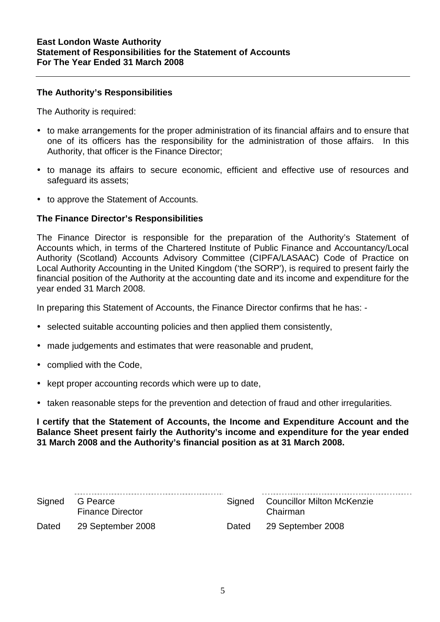## **The Authority's Responsibilities**

The Authority is required:

- to make arrangements for the proper administration of its financial affairs and to ensure that one of its officers has the responsibility for the administration of those affairs. In this Authority, that officer is the Finance Director;
- to manage its affairs to secure economic, efficient and effective use of resources and safeguard its assets:
- to approve the Statement of Accounts.

## **The Finance Director's Responsibilities**

The Finance Director is responsible for the preparation of the Authority's Statement of Accounts which, in terms of the Chartered Institute of Public Finance and Accountancy/Local Authority (Scotland) Accounts Advisory Committee (CIPFA/LASAAC) Code of Practice on Local Authority Accounting in the United Kingdom ('the SORP'), is required to present fairly the financial position of the Authority at the accounting date and its income and expenditure for the year ended 31 March 2008.

In preparing this Statement of Accounts, the Finance Director confirms that he has: -

- selected suitable accounting policies and then applied them consistently,
- made judgements and estimates that were reasonable and prudent,
- complied with the Code,
- kept proper accounting records which were up to date,
- taken reasonable steps for the prevention and detection of fraud and other irregularities.

**I certify that the Statement of Accounts, the Income and Expenditure Account and the Balance Sheet present fairly the Authority's income and expenditure for the year ended 31 March 2008 and the Authority's financial position as at 31 March 2008.** 

|       | Signed G Pearce<br><b>Finance Director</b> |       | Signed Councillor Milton McKenzie<br>Chairman |
|-------|--------------------------------------------|-------|-----------------------------------------------|
| Dated | 29 September 2008                          | Dated | 29 September 2008                             |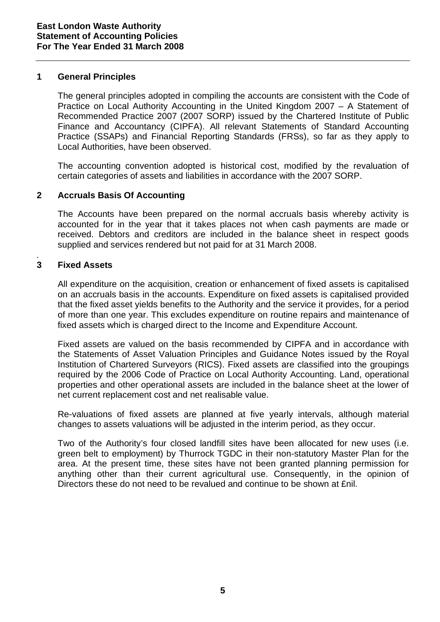#### **1 General Principles**

 The general principles adopted in compiling the accounts are consistent with the Code of Practice on Local Authority Accounting in the United Kingdom 2007 – A Statement of Recommended Practice 2007 (2007 SORP) issued by the Chartered Institute of Public Finance and Accountancy (CIPFA). All relevant Statements of Standard Accounting Practice (SSAPs) and Financial Reporting Standards (FRSs), so far as they apply to Local Authorities, have been observed.

 The accounting convention adopted is historical cost, modified by the revaluation of certain categories of assets and liabilities in accordance with the 2007 SORP.

# **2 Accruals Basis Of Accounting**

The Accounts have been prepared on the normal accruals basis whereby activity is accounted for in the year that it takes places not when cash payments are made or received. Debtors and creditors are included in the balance sheet in respect goods supplied and services rendered but not paid for at 31 March 2008.

#### *.*  **3 Fixed Assets**

 All expenditure on the acquisition, creation or enhancement of fixed assets is capitalised on an accruals basis in the accounts. Expenditure on fixed assets is capitalised provided that the fixed asset yields benefits to the Authority and the service it provides, for a period of more than one year. This excludes expenditure on routine repairs and maintenance of fixed assets which is charged direct to the Income and Expenditure Account.

 Fixed assets are valued on the basis recommended by CIPFA and in accordance with the Statements of Asset Valuation Principles and Guidance Notes issued by the Royal Institution of Chartered Surveyors (RICS). Fixed assets are classified into the groupings required by the 2006 Code of Practice on Local Authority Accounting. Land, operational properties and other operational assets are included in the balance sheet at the lower of net current replacement cost and net realisable value.

 Re-valuations of fixed assets are planned at five yearly intervals, although material changes to assets valuations will be adjusted in the interim period, as they occur.

 Two of the Authority's four closed landfill sites have been allocated for new uses (i.e. green belt to employment) by Thurrock TGDC in their non-statutory Master Plan for the area. At the present time, these sites have not been granted planning permission for anything other than their current agricultural use. Consequently, in the opinion of Directors these do not need to be revalued and continue to be shown at £nil.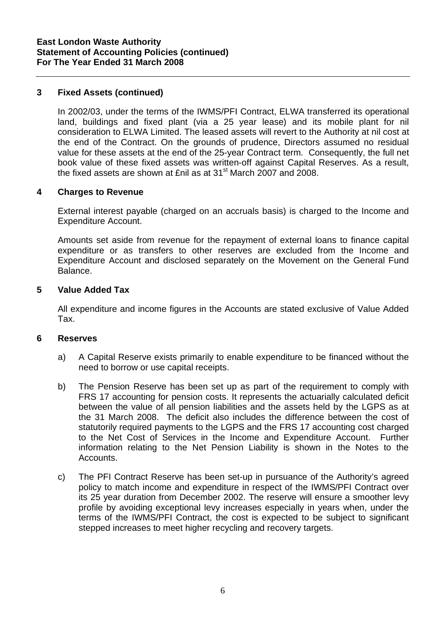# **3 Fixed Assets (continued)**

 In 2002/03, under the terms of the IWMS/PFI Contract, ELWA transferred its operational land, buildings and fixed plant (via a 25 year lease) and its mobile plant for nil consideration to ELWA Limited. The leased assets will revert to the Authority at nil cost at the end of the Contract. On the grounds of prudence, Directors assumed no residual value for these assets at the end of the 25-year Contract term. Consequently, the full net book value of these fixed assets was written-off against Capital Reserves. As a result, the fixed assets are shown at £nil as at  $31<sup>st</sup>$  March 2007 and 2008.

# **4 Charges to Revenue**

 External interest payable (charged on an accruals basis) is charged to the Income and Expenditure Account.

Amounts set aside from revenue for the repayment of external loans to finance capital expenditure or as transfers to other reserves are excluded from the Income and Expenditure Account and disclosed separately on the Movement on the General Fund Balance.

## **5 Value Added Tax**

 All expenditure and income figures in the Accounts are stated exclusive of Value Added Tax.

## **6 Reserves**

- a) A Capital Reserve exists primarily to enable expenditure to be financed without the need to borrow or use capital receipts.
- b) The Pension Reserve has been set up as part of the requirement to comply with FRS 17 accounting for pension costs. It represents the actuarially calculated deficit between the value of all pension liabilities and the assets held by the LGPS as at the 31 March 2008. The deficit also includes the difference between the cost of statutorily required payments to the LGPS and the FRS 17 accounting cost charged to the Net Cost of Services in the Income and Expenditure Account. Further information relating to the Net Pension Liability is shown in the Notes to the Accounts.
- c) The PFI Contract Reserve has been set-up in pursuance of the Authority's agreed policy to match income and expenditure in respect of the IWMS/PFI Contract over its 25 year duration from December 2002. The reserve will ensure a smoother levy profile by avoiding exceptional levy increases especially in years when, under the terms of the IWMS/PFI Contract, the cost is expected to be subject to significant stepped increases to meet higher recycling and recovery targets.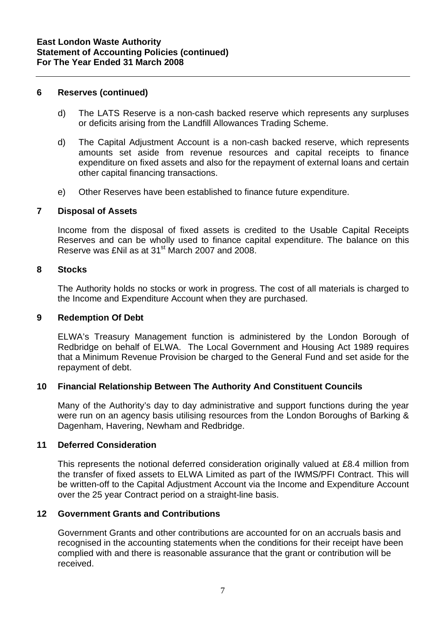#### **6 Reserves (continued)**

- d) The LATS Reserve is a non-cash backed reserve which represents any surpluses or deficits arising from the Landfill Allowances Trading Scheme.
- d) The Capital Adjustment Account is a non-cash backed reserve, which represents amounts set aside from revenue resources and capital receipts to finance expenditure on fixed assets and also for the repayment of external loans and certain other capital financing transactions.
- e) Other Reserves have been established to finance future expenditure.

#### **7 Disposal of Assets**

 Income from the disposal of fixed assets is credited to the Usable Capital Receipts Reserves and can be wholly used to finance capital expenditure. The balance on this Reserve was £Nil as at 31<sup>st</sup> March 2007 and 2008.

#### **8 Stocks**

 The Authority holds no stocks or work in progress. The cost of all materials is charged to the Income and Expenditure Account when they are purchased.

#### **9 Redemption Of Debt**

 ELWA's Treasury Management function is administered by the London Borough of Redbridge on behalf of ELWA. The Local Government and Housing Act 1989 requires that a Minimum Revenue Provision be charged to the General Fund and set aside for the repayment of debt.

## **10 Financial Relationship Between The Authority And Constituent Councils**

 Many of the Authority's day to day administrative and support functions during the year were run on an agency basis utilising resources from the London Boroughs of Barking & Dagenham, Havering, Newham and Redbridge.

#### **11 Deferred Consideration**

This represents the notional deferred consideration originally valued at £8.4 million from the transfer of fixed assets to ELWA Limited as part of the IWMS/PFI Contract. This will be written-off to the Capital Adjustment Account via the Income and Expenditure Account over the 25 year Contract period on a straight-line basis.

## **12 Government Grants and Contributions**

Government Grants and other contributions are accounted for on an accruals basis and recognised in the accounting statements when the conditions for their receipt have been complied with and there is reasonable assurance that the grant or contribution will be received.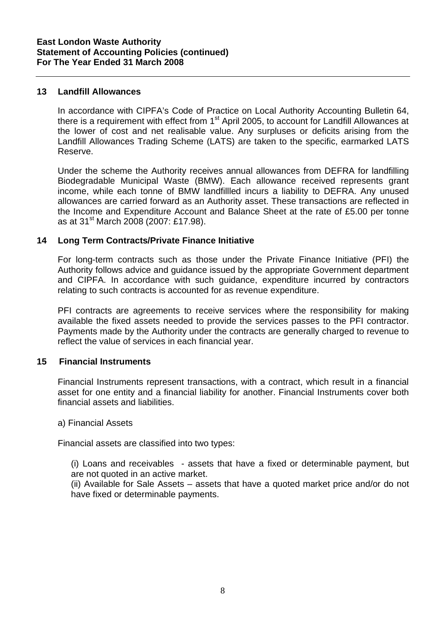#### **13 Landfill Allowances**

In accordance with CIPFA's Code of Practice on Local Authority Accounting Bulletin 64, there is a requirement with effect from 1<sup>st</sup> April 2005, to account for Landfill Allowances at the lower of cost and net realisable value. Any surpluses or deficits arising from the Landfill Allowances Trading Scheme (LATS) are taken to the specific, earmarked LATS Reserve.

Under the scheme the Authority receives annual allowances from DEFRA for landfilling Biodegradable Municipal Waste (BMW). Each allowance received represents grant income, while each tonne of BMW landfillled incurs a liability to DEFRA. Any unused allowances are carried forward as an Authority asset. These transactions are reflected in the Income and Expenditure Account and Balance Sheet at the rate of £5.00 per tonne as at 31st March 2008 (2007: £17.98).

## **14 Long Term Contracts/Private Finance Initiative**

For long-term contracts such as those under the Private Finance Initiative (PFI) the Authority follows advice and guidance issued by the appropriate Government department and CIPFA. In accordance with such guidance, expenditure incurred by contractors relating to such contracts is accounted for as revenue expenditure.

PFI contracts are agreements to receive services where the responsibility for making available the fixed assets needed to provide the services passes to the PFI contractor. Payments made by the Authority under the contracts are generally charged to revenue to reflect the value of services in each financial year.

#### **15 Financial Instruments**

Financial Instruments represent transactions, with a contract, which result in a financial asset for one entity and a financial liability for another. Financial Instruments cover both financial assets and liabilities.

#### a) Financial Assets

Financial assets are classified into two types:

 (i) Loans and receivables - assets that have a fixed or determinable payment, but are not quoted in an active market.

(ii) Available for Sale Assets – assets that have a quoted market price and/or do not have fixed or determinable payments.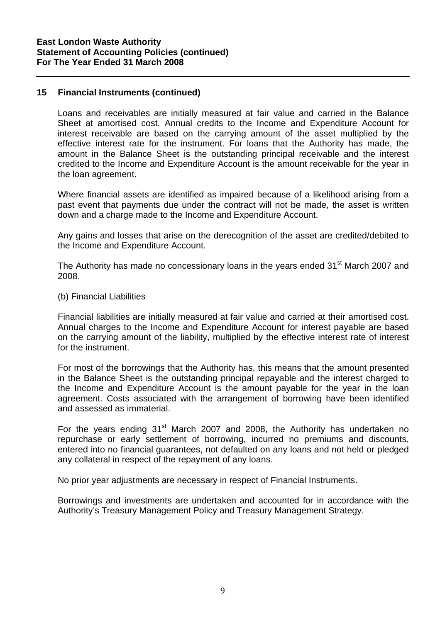#### **15 Financial Instruments (continued)**

Loans and receivables are initially measured at fair value and carried in the Balance Sheet at amortised cost. Annual credits to the Income and Expenditure Account for interest receivable are based on the carrying amount of the asset multiplied by the effective interest rate for the instrument. For loans that the Authority has made, the amount in the Balance Sheet is the outstanding principal receivable and the interest credited to the Income and Expenditure Account is the amount receivable for the year in the loan agreement.

Where financial assets are identified as impaired because of a likelihood arising from a past event that payments due under the contract will not be made, the asset is written down and a charge made to the Income and Expenditure Account.

Any gains and losses that arise on the derecognition of the asset are credited/debited to the Income and Expenditure Account.

The Authority has made no concessionary loans in the years ended 31<sup>st</sup> March 2007 and 2008.

(b) Financial Liabilities

Financial liabilities are initially measured at fair value and carried at their amortised cost. Annual charges to the Income and Expenditure Account for interest payable are based on the carrying amount of the liability, multiplied by the effective interest rate of interest for the instrument.

For most of the borrowings that the Authority has, this means that the amount presented in the Balance Sheet is the outstanding principal repayable and the interest charged to the Income and Expenditure Account is the amount payable for the year in the loan agreement. Costs associated with the arrangement of borrowing have been identified and assessed as immaterial.

For the years ending  $31<sup>st</sup>$  March 2007 and 2008, the Authority has undertaken no repurchase or early settlement of borrowing, incurred no premiums and discounts, entered into no financial guarantees, not defaulted on any loans and not held or pledged any collateral in respect of the repayment of any loans.

No prior year adjustments are necessary in respect of Financial Instruments.

Borrowings and investments are undertaken and accounted for in accordance with the Authority's Treasury Management Policy and Treasury Management Strategy.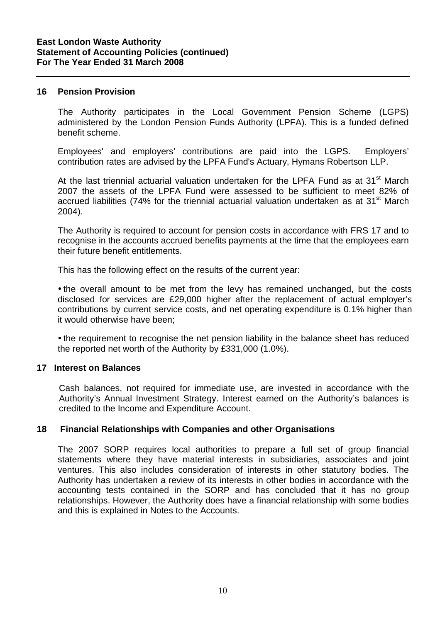#### **16 Pension Provision**

The Authority participates in the Local Government Pension Scheme (LGPS) administered by the London Pension Funds Authority (LPFA). This is a funded defined benefit scheme.

Employees' and employers' contributions are paid into the LGPS. Employers' contribution rates are advised by the LPFA Fund's Actuary, Hymans Robertson LLP.

At the last triennial actuarial valuation undertaken for the LPFA Fund as at 31<sup>st</sup> March 2007 the assets of the LPFA Fund were assessed to be sufficient to meet 82% of accrued liabilities (74% for the triennial actuarial valuation undertaken as at  $31<sup>st</sup>$  March 2004).

The Authority is required to account for pension costs in accordance with FRS 17 and to recognise in the accounts accrued benefits payments at the time that the employees earn their future benefit entitlements.

This has the following effect on the results of the current year:

• the overall amount to be met from the levy has remained unchanged, but the costs disclosed for services are £29,000 higher after the replacement of actual employer's contributions by current service costs, and net operating expenditure is 0.1% higher than it would otherwise have been;

• the requirement to recognise the net pension liability in the balance sheet has reduced the reported net worth of the Authority by £331,000 (1.0%).

#### **17 Interest on Balances**

Cash balances, not required for immediate use, are invested in accordance with the Authority's Annual Investment Strategy. Interest earned on the Authority's balances is credited to the Income and Expenditure Account.

## **18****Financial Relationships with Companies and other Organisations**

The 2007 SORP requires local authorities to prepare a full set of group financial statements where they have material interests in subsidiaries, associates and joint ventures. This also includes consideration of interests in other statutory bodies. The Authority has undertaken a review of its interests in other bodies in accordance with the accounting tests contained in the SORP and has concluded that it has no group relationships. However, the Authority does have a financial relationship with some bodies and this is explained in Notes to the Accounts.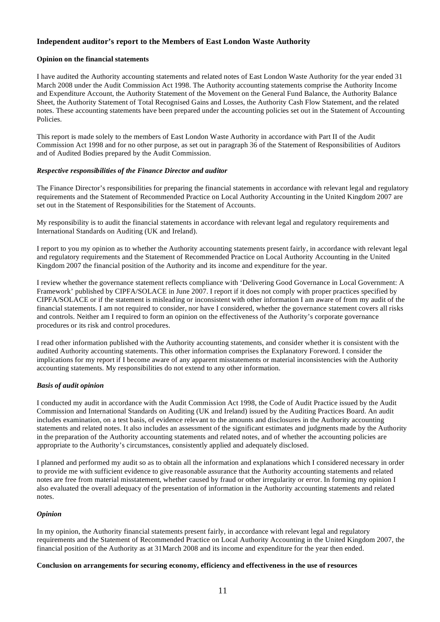#### **Independent auditor's report to the Members of East London Waste Authority**

#### **Opinion on the financial statements**

I have audited the Authority accounting statements and related notes of East London Waste Authority for the year ended 31 March 2008 under the Audit Commission Act 1998. The Authority accounting statements comprise the Authority Income and Expenditure Account, the Authority Statement of the Movement on the General Fund Balance, the Authority Balance Sheet, the Authority Statement of Total Recognised Gains and Losses, the Authority Cash Flow Statement, and the related notes. These accounting statements have been prepared under the accounting policies set out in the Statement of Accounting Policies.

This report is made solely to the members of East London Waste Authority in accordance with Part II of the Audit Commission Act 1998 and for no other purpose, as set out in paragraph 36 of the Statement of Responsibilities of Auditors and of Audited Bodies prepared by the Audit Commission.

#### *Respective responsibilities of the Finance Director and auditor*

The Finance Director's responsibilities for preparing the financial statements in accordance with relevant legal and regulatory requirements and the Statement of Recommended Practice on Local Authority Accounting in the United Kingdom 2007 are set out in the Statement of Responsibilities for the Statement of Accounts.

My responsibility is to audit the financial statements in accordance with relevant legal and regulatory requirements and International Standards on Auditing (UK and Ireland).

I report to you my opinion as to whether the Authority accounting statements present fairly, in accordance with relevant legal and regulatory requirements and the Statement of Recommended Practice on Local Authority Accounting in the United Kingdom 2007 the financial position of the Authority and its income and expenditure for the year.

I review whether the governance statement reflects compliance with 'Delivering Good Governance in Local Government: A Framework' published by CIPFA/SOLACE in June 2007. I report if it does not comply with proper practices specified by CIPFA/SOLACE or if the statement is misleading or inconsistent with other information I am aware of from my audit of the financial statements. I am not required to consider, nor have I considered, whether the governance statement covers all risks and controls. Neither am I required to form an opinion on the effectiveness of the Authority's corporate governance procedures or its risk and control procedures.

I read other information published with the Authority accounting statements, and consider whether it is consistent with the audited Authority accounting statements. This other information comprises the Explanatory Foreword. I consider the implications for my report if I become aware of any apparent misstatements or material inconsistencies with the Authority accounting statements. My responsibilities do not extend to any other information.

#### *Basis of audit opinion*

I conducted my audit in accordance with the Audit Commission Act 1998, the Code of Audit Practice issued by the Audit Commission and International Standards on Auditing (UK and Ireland) issued by the Auditing Practices Board. An audit includes examination, on a test basis, of evidence relevant to the amounts and disclosures in the Authority accounting statements and related notes. It also includes an assessment of the significant estimates and judgments made by the Authority in the preparation of the Authority accounting statements and related notes, and of whether the accounting policies are appropriate to the Authority's circumstances, consistently applied and adequately disclosed.

I planned and performed my audit so as to obtain all the information and explanations which I considered necessary in order to provide me with sufficient evidence to give reasonable assurance that the Authority accounting statements and related notes are free from material misstatement, whether caused by fraud or other irregularity or error. In forming my opinion I also evaluated the overall adequacy of the presentation of information in the Authority accounting statements and related notes.

#### *Opinion*

In my opinion, the Authority financial statements present fairly, in accordance with relevant legal and regulatory requirements and the Statement of Recommended Practice on Local Authority Accounting in the United Kingdom 2007, the financial position of the Authority as at 31March 2008 and its income and expenditure for the year then ended.

#### **Conclusion on arrangements for securing economy, efficiency and effectiveness in the use of resources**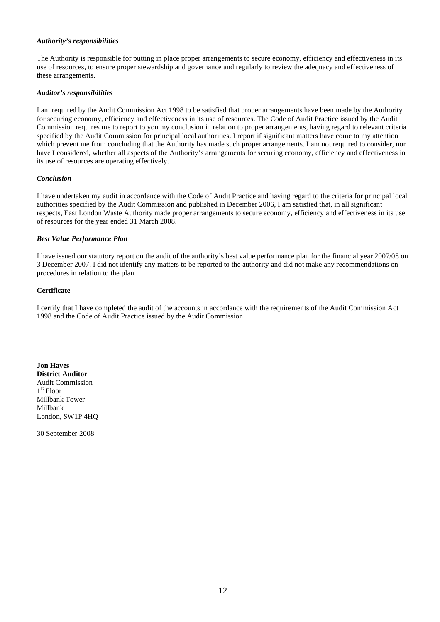#### *Authority's responsibilities*

The Authority is responsible for putting in place proper arrangements to secure economy, efficiency and effectiveness in its use of resources, to ensure proper stewardship and governance and regularly to review the adequacy and effectiveness of these arrangements.

#### *Auditor's responsibilities*

I am required by the Audit Commission Act 1998 to be satisfied that proper arrangements have been made by the Authority for securing economy, efficiency and effectiveness in its use of resources. The Code of Audit Practice issued by the Audit Commission requires me to report to you my conclusion in relation to proper arrangements, having regard to relevant criteria specified by the Audit Commission for principal local authorities. I report if significant matters have come to my attention which prevent me from concluding that the Authority has made such proper arrangements. I am not required to consider, nor have I considered, whether all aspects of the Authority's arrangements for securing economy, efficiency and effectiveness in its use of resources are operating effectively.

#### *Conclusion*

I have undertaken my audit in accordance with the Code of Audit Practice and having regard to the criteria for principal local authorities specified by the Audit Commission and published in December 2006, I am satisfied that, in all significant respects, East London Waste Authority made proper arrangements to secure economy, efficiency and effectiveness in its use of resources for the year ended 31 March 2008.

#### *Best Value Performance Plan*

I have issued our statutory report on the audit of the authority's best value performance plan for the financial year 2007/08 on 3 December 2007. I did not identify any matters to be reported to the authority and did not make any recommendations on procedures in relation to the plan.

#### **Certificate**

I certify that I have completed the audit of the accounts in accordance with the requirements of the Audit Commission Act 1998 and the Code of Audit Practice issued by the Audit Commission.

**Jon Hayes District Auditor**  Audit Commission 1st Floor Millbank Tower Millbank London, SW1P 4HQ

30 September 2008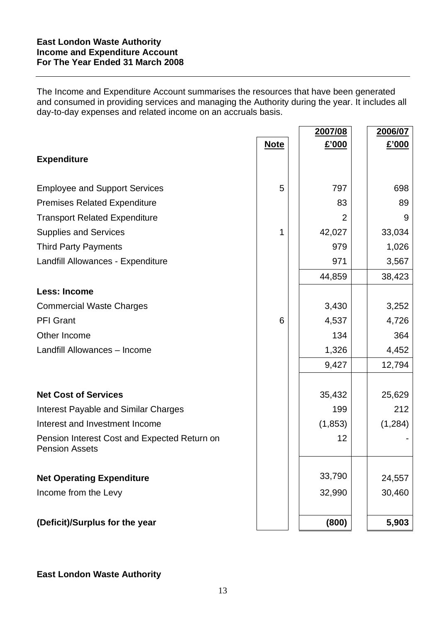The Income and Expenditure Account summarises the resources that have been generated and consumed in providing services and managing the Authority during the year. It includes all day-to-day expenses and related income on an accruals basis.

|                                              |             | 2007/08  | 2006/07 |
|----------------------------------------------|-------------|----------|---------|
|                                              | <b>Note</b> | £'000    | £'000   |
| <b>Expenditure</b>                           |             |          |         |
|                                              |             |          |         |
| <b>Employee and Support Services</b>         | 5           | 797      | 698     |
| <b>Premises Related Expenditure</b>          |             | 83       | 89      |
| <b>Transport Related Expenditure</b>         |             | 2        | 9       |
| <b>Supplies and Services</b>                 | 1           | 42,027   | 33,034  |
| <b>Third Party Payments</b>                  |             | 979      | 1,026   |
| Landfill Allowances - Expenditure            |             | 971      | 3,567   |
|                                              |             | 44,859   | 38,423  |
| <b>Less: Income</b>                          |             |          |         |
| <b>Commercial Waste Charges</b>              |             | 3,430    | 3,252   |
| <b>PFI Grant</b>                             | 6           | 4,537    | 4,726   |
| Other Income                                 |             | 134      | 364     |
| Landfill Allowances - Income                 |             | 1,326    | 4,452   |
|                                              |             | 9,427    | 12,794  |
|                                              |             |          |         |
| <b>Net Cost of Services</b>                  |             | 35,432   | 25,629  |
| <b>Interest Payable and Similar Charges</b>  |             | 199      | 212     |
| Interest and Investment Income               |             | (1, 853) | (1,284) |
| Pension Interest Cost and Expected Return on |             | 12       |         |
| <b>Pension Assets</b>                        |             |          |         |
|                                              |             |          |         |
| <b>Net Operating Expenditure</b>             |             | 33,790   | 24,557  |
| Income from the Levy                         |             | 32,990   | 30,460  |
|                                              |             |          |         |
| (Deficit)/Surplus for the year               |             | (800)    | 5,903   |

**East London Waste Authority**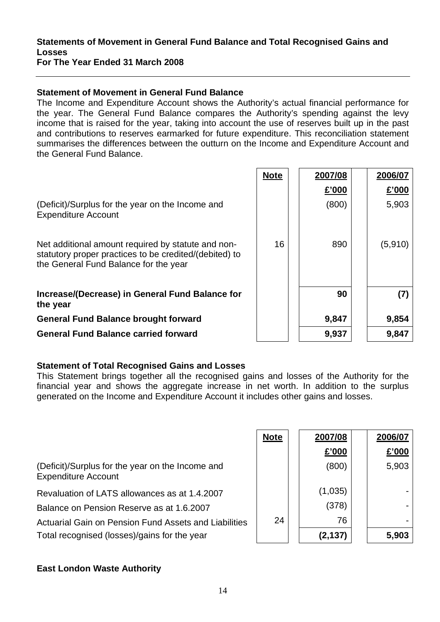#### **Statements of Movement in General Fund Balance and Total Recognised Gains and Losses For The Year Ended 31 March 2008**

## **Statement of Movement in General Fund Balance**

The Income and Expenditure Account shows the Authority's actual financial performance for the year. The General Fund Balance compares the Authority's spending against the levy income that is raised for the year, taking into account the use of reserves built up in the past and contributions to reserves earmarked for future expenditure. This reconciliation statement summarises the differences between the outturn on the Income and Expenditure Account and the General Fund Balance.

|                                                                                                                                                       | <b>Note</b> | 2007/08 | 2006/07 |
|-------------------------------------------------------------------------------------------------------------------------------------------------------|-------------|---------|---------|
|                                                                                                                                                       |             | £'000   | £'000   |
| (Deficit)/Surplus for the year on the Income and<br><b>Expenditure Account</b>                                                                        |             | (800)   | 5,903   |
| Net additional amount required by statute and non-<br>statutory proper practices to be credited/(debited) to<br>the General Fund Balance for the year | 16          | 890     | (5,910) |
| Increase/(Decrease) in General Fund Balance for<br>the year                                                                                           |             | 90      | (7)     |
| <b>General Fund Balance brought forward</b>                                                                                                           |             | 9,847   | 9,854   |
| <b>General Fund Balance carried forward</b>                                                                                                           |             | 9,937   | 9,847   |

## **Statement of Total Recognised Gains and Losses**

This Statement brings together all the recognised gains and losses of the Authority for the financial year and shows the aggregate increase in net worth. In addition to the surplus generated on the Income and Expenditure Account it includes other gains and losses.

|                                                                                | <b>Note</b> | 2007/08 | 2006/07 |
|--------------------------------------------------------------------------------|-------------|---------|---------|
|                                                                                |             | £'000   | £'000   |
| (Deficit)/Surplus for the year on the Income and<br><b>Expenditure Account</b> |             | (800)   | 5,903   |
| Revaluation of LATS allowances as at 1.4.2007                                  |             | (1,035) |         |
| Balance on Pension Reserve as at 1.6.2007                                      |             | (378)   |         |
| Actuarial Gain on Pension Fund Assets and Liabilities                          | 24          | 76      |         |
| Total recognised (losses)/gains for the year                                   |             | (2,137) | 5,903   |

## **East London Waste Authority**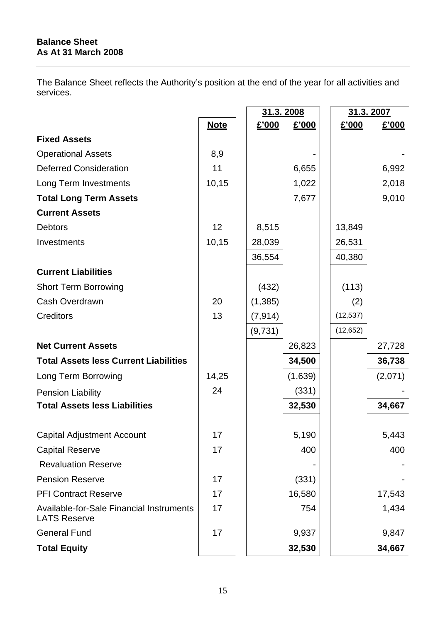The Balance Sheet reflects the Authority's position at the end of the year for all activities and services.

|                                                      |             | 31.3.2008 |         |           | 31.3.2007 |
|------------------------------------------------------|-------------|-----------|---------|-----------|-----------|
|                                                      | <b>Note</b> | £'000     | £'000   | £'000     | £'000     |
| <b>Fixed Assets</b>                                  |             |           |         |           |           |
| <b>Operational Assets</b>                            | 8,9         |           |         |           |           |
| <b>Deferred Consideration</b>                        | 11          |           | 6,655   |           | 6,992     |
| Long Term Investments                                | 10,15       |           | 1,022   |           | 2,018     |
| <b>Total Long Term Assets</b>                        |             |           | 7,677   |           | 9,010     |
| <b>Current Assets</b>                                |             |           |         |           |           |
| <b>Debtors</b>                                       | 12          | 8,515     |         | 13,849    |           |
| Investments                                          | 10,15       | 28,039    |         | 26,531    |           |
|                                                      |             | 36,554    |         | 40,380    |           |
| <b>Current Liabilities</b>                           |             |           |         |           |           |
| <b>Short Term Borrowing</b>                          |             | (432)     |         | (113)     |           |
| Cash Overdrawn                                       | 20          | (1,385)   |         | (2)       |           |
| <b>Creditors</b>                                     | 13          | (7, 914)  |         | (12, 537) |           |
|                                                      |             | (9,731)   |         | (12, 652) |           |
| <b>Net Current Assets</b>                            |             |           | 26,823  |           | 27,728    |
| <b>Total Assets less Current Liabilities</b>         |             |           | 34,500  |           | 36,738    |
| Long Term Borrowing                                  | 14,25       |           | (1,639) |           | (2,071)   |
| <b>Pension Liability</b>                             | 24          |           | (331)   |           |           |
| <b>Total Assets less Liabilities</b>                 |             |           | 32,530  |           | 34,667    |
|                                                      |             |           |         |           |           |
| Capital Adjustment Account                           | 17          |           | 5,190   |           | 5,443     |
| <b>Capital Reserve</b><br><b>Revaluation Reserve</b> | 17          |           | 400     |           | 400       |
| <b>Pension Reserve</b>                               | 17          |           | (331)   |           |           |
| <b>PFI Contract Reserve</b>                          | 17          |           | 16,580  |           | 17,543    |
| Available-for-Sale Financial Instruments             | 17          |           | 754     |           | 1,434     |
| <b>LATS Reserve</b>                                  |             |           |         |           |           |
| <b>General Fund</b>                                  | 17          |           | 9,937   |           | 9,847     |
| <b>Total Equity</b>                                  |             |           | 32,530  |           | 34,667    |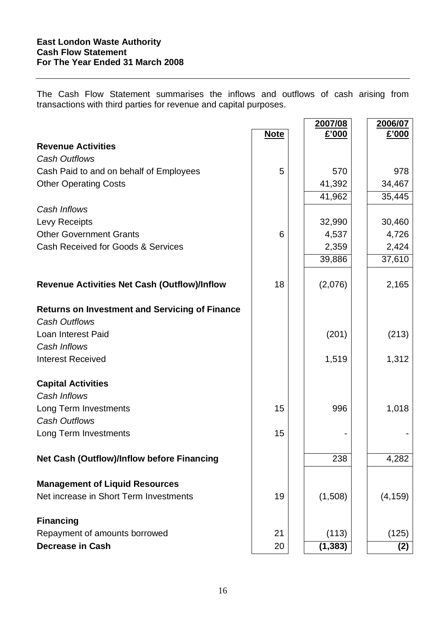The Cash Flow Statement summarises the inflows and outflows of cash arising from transactions with third parties for revenue and capital purposes.

 $\overline{\phantom{a}}$ 

|                                                                               |             | 2007/08  | 2006/07  |
|-------------------------------------------------------------------------------|-------------|----------|----------|
|                                                                               | <b>Note</b> | £'000    | £'000    |
| <b>Revenue Activities</b>                                                     |             |          |          |
| <b>Cash Outflows</b>                                                          |             |          |          |
| Cash Paid to and on behalf of Employees                                       | 5           | 570      | 978      |
| <b>Other Operating Costs</b>                                                  |             | 41,392   | 34,467   |
|                                                                               |             | 41,962   | 35,445   |
| Cash Inflows                                                                  |             |          |          |
| Levy Receipts                                                                 |             | 32,990   | 30,460   |
| <b>Other Government Grants</b>                                                | 6           | 4,537    | 4,726    |
| Cash Received for Goods & Services                                            |             | 2,359    | 2,424    |
|                                                                               |             | 39,886   | 37,610   |
| <b>Revenue Activities Net Cash (Outflow)/Inflow</b>                           | 18          | (2,076)  | 2,165    |
|                                                                               |             |          |          |
| <b>Returns on Investment and Servicing of Finance</b><br><b>Cash Outflows</b> |             |          |          |
| Loan Interest Paid                                                            |             | (201)    | (213)    |
| Cash Inflows                                                                  |             |          |          |
| <b>Interest Received</b>                                                      |             | 1,519    | 1,312    |
|                                                                               |             |          |          |
| <b>Capital Activities</b>                                                     |             |          |          |
| Cash Inflows                                                                  |             |          |          |
| Long Term Investments                                                         | 15          | 996      | 1,018    |
| <b>Cash Outflows</b>                                                          |             |          |          |
| Long Term Investments                                                         | 15          |          |          |
|                                                                               |             |          |          |
| <b>Net Cash (Outflow)/Inflow before Financing</b>                             |             | 238      | 4,282    |
|                                                                               |             |          |          |
| <b>Management of Liquid Resources</b>                                         |             |          |          |
| Net increase in Short Term Investments                                        | 19          | (1,508)  | (4, 159) |
| <b>Financing</b>                                                              |             |          |          |
| Repayment of amounts borrowed                                                 | 21          | (113)    | (125)    |
| <b>Decrease in Cash</b>                                                       | 20          | (1, 383) | (2)      |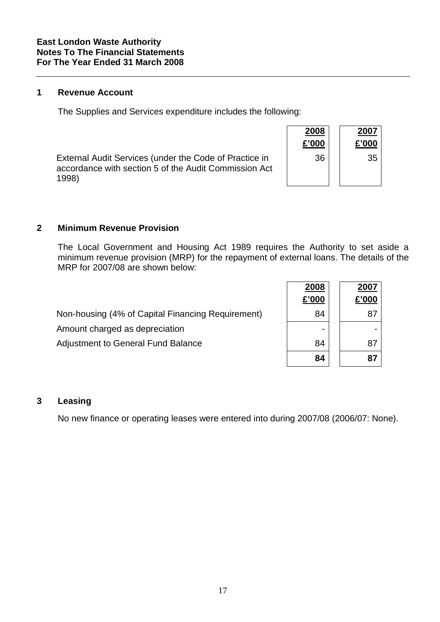#### **1 Revenue Account**

The Supplies and Services expenditure includes the following:

|                                                                                                                          | 2008<br>£'000 | 2007<br>£'000 |
|--------------------------------------------------------------------------------------------------------------------------|---------------|---------------|
| External Audit Services (under the Code of Practice in<br>accordance with section 5 of the Audit Commission Act<br>1998) | 36            | 35            |

#### **2 Minimum Revenue Provision**

The Local Government and Housing Act 1989 requires the Authority to set aside a minimum revenue provision (MRP) for the repayment of external loans. The details of the MRP for 2007/08 are shown below:

|                                                   | £'000 | £'000 |
|---------------------------------------------------|-------|-------|
| Non-housing (4% of Capital Financing Requirement) | 84    |       |
| Amount charged as depreciation                    |       |       |
| <b>Adjustment to General Fund Balance</b>         | 84    |       |

|                                                   | 2008<br>£'000 | 2007<br>£'000 |
|---------------------------------------------------|---------------|---------------|
| Non-housing (4% of Capital Financing Requirement) | 84            | 87            |
| Amount charged as depreciation                    |               |               |
| <b>Adjustment to General Fund Balance</b>         | 84            | 87            |
|                                                   | 84            | 87            |

## **3 Leasing**

No new finance or operating leases were entered into during 2007/08 (2006/07: None).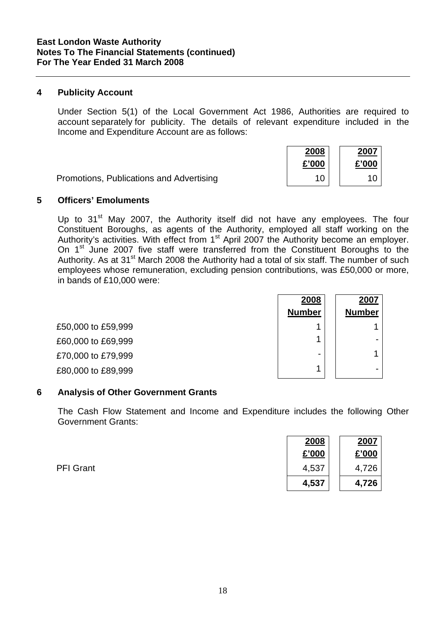## **4 Publicity Account**

Under Section 5(1) of the Local Government Act 1986, Authorities are required to account separately for publicity. The details of relevant expenditure included in the Income and Expenditure Account are as follows:

|                                          | 2008  | 2007  |
|------------------------------------------|-------|-------|
|                                          | £'000 | £'000 |
| Promotions, Publications and Advertising |       |       |

#### **5 Officers' Emoluments**

Up to  $31<sup>st</sup>$  May 2007, the Authority itself did not have any employees. The four Constituent Boroughs, as agents of the Authority, employed all staff working on the Authority's activities. With effect from 1<sup>st</sup> April 2007 the Authority become an employer. On 1<sup>st</sup> June 2007 five staff were transferred from the Constituent Boroughs to the Authority. As at 31<sup>st</sup> March 2008 the Authority had a total of six staff. The number of such employees whose remuneration, excluding pension contributions, was £50,000 or more, in bands of £10,000 were:

|                    | 2008          | 2007          |
|--------------------|---------------|---------------|
|                    | <b>Number</b> | <b>Number</b> |
| £50,000 to £59,999 | ٠             |               |
| £60,000 to £69,999 | и             |               |
| £70,000 to £79,999 | -             | л             |
| £80,000 to £89,999 | ◢             |               |

#### **6 Analysis of Other Government Grants**

The Cash Flow Statement and Income and Expenditure includes the following Other Government Grants:

|                  | 2008  | 2007  |
|------------------|-------|-------|
|                  | £'000 | £'000 |
| <b>PFI Grant</b> | 4,537 | 4,726 |
|                  | 4,537 | 4,726 |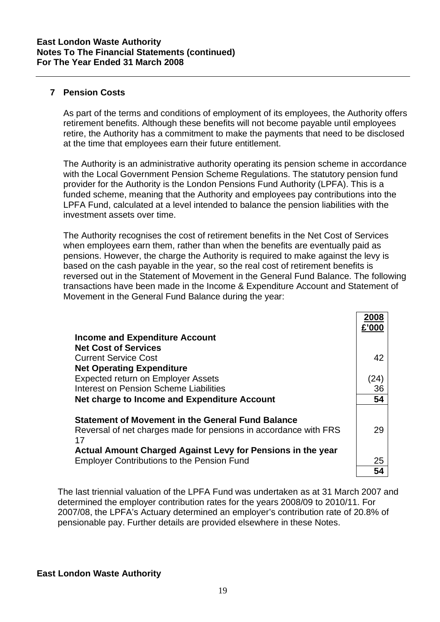# **7 Pension Costs**

As part of the terms and conditions of employment of its employees, the Authority offers retirement benefits. Although these benefits will not become payable until employees retire, the Authority has a commitment to make the payments that need to be disclosed at the time that employees earn their future entitlement.

The Authority is an administrative authority operating its pension scheme in accordance with the Local Government Pension Scheme Regulations. The statutory pension fund provider for the Authority is the London Pensions Fund Authority (LPFA). This is a funded scheme, meaning that the Authority and employees pay contributions into the LPFA Fund, calculated at a level intended to balance the pension liabilities with the investment assets over time.

The Authority recognises the cost of retirement benefits in the Net Cost of Services when employees earn them, rather than when the benefits are eventually paid as pensions. However, the charge the Authority is required to make against the levy is based on the cash payable in the year, so the real cost of retirement benefits is reversed out in the Statement of Movement in the General Fund Balance. The following transactions have been made in the Income & Expenditure Account and Statement of Movement in the General Fund Balance during the year:

|                                                                                                                  | 200                |
|------------------------------------------------------------------------------------------------------------------|--------------------|
| <b>Income and Expenditure Account</b>                                                                            |                    |
| <b>Net Cost of Services</b>                                                                                      |                    |
| <b>Current Service Cost</b>                                                                                      | 42                 |
| <b>Net Operating Expenditure</b>                                                                                 |                    |
| Expected return on Employer Assets                                                                               | $\left( 24\right)$ |
| Interest on Pension Scheme Liabilities                                                                           | 36                 |
| Net charge to Income and Expenditure Account                                                                     | 54                 |
| <b>Statement of Movement in the General Fund Balance</b>                                                         |                    |
| Reversal of net charges made for pensions in accordance with FRS<br>17                                           | 29                 |
|                                                                                                                  |                    |
| Actual Amount Charged Against Levy for Pensions in the year<br><b>Employer Contributions to the Pension Fund</b> | 25                 |
|                                                                                                                  | 54                 |

The last triennial valuation of the LPFA Fund was undertaken as at 31 March 2007 and determined the employer contribution rates for the years 2008/09 to 2010/11. For 2007/08, the LPFA's Actuary determined an employer's contribution rate of 20.8% of pensionable pay. Further details are provided elsewhere in these Notes.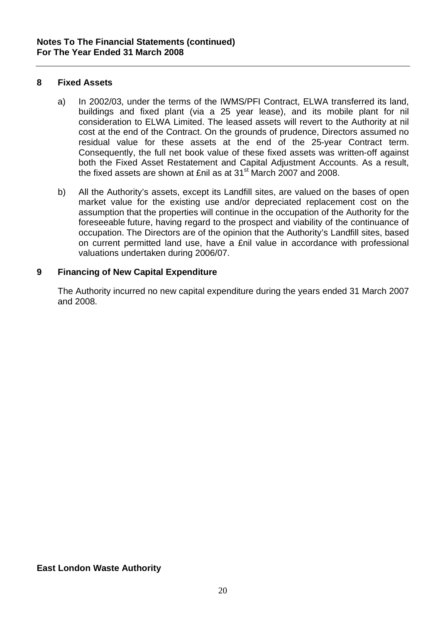## **8 Fixed Assets**

- a) In 2002/03, under the terms of the IWMS/PFI Contract, ELWA transferred its land, buildings and fixed plant (via a 25 year lease), and its mobile plant for nil consideration to ELWA Limited. The leased assets will revert to the Authority at nil cost at the end of the Contract. On the grounds of prudence, Directors assumed no residual value for these assets at the end of the 25-year Contract term. Consequently, the full net book value of these fixed assets was written-off against both the Fixed Asset Restatement and Capital Adjustment Accounts. As a result, the fixed assets are shown at £nil as at 31<sup>st</sup> March 2007 and 2008.
- b) All the Authority's assets, except its Landfill sites, are valued on the bases of open market value for the existing use and/or depreciated replacement cost on the assumption that the properties will continue in the occupation of the Authority for the foreseeable future, having regard to the prospect and viability of the continuance of occupation. The Directors are of the opinion that the Authority's Landfill sites, based on current permitted land use, have a £nil value in accordance with professional valuations undertaken during 2006/07.

# **9 Financing of New Capital Expenditure**

The Authority incurred no new capital expenditure during the years ended 31 March 2007 and 2008.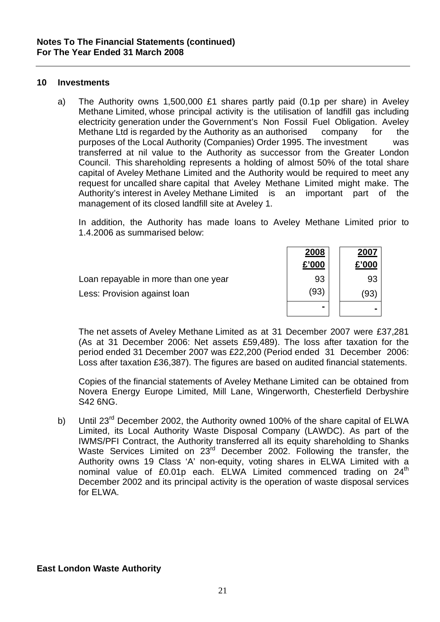#### **10 Investments**

a) The Authority owns 1,500,000 £1 shares partly paid (0.1p per share) in Aveley Methane Limited, whose principal activity is the utilisation of landfill gas including electricity generation under the Government's Non Fossil Fuel Obligation. Aveley Methane Ltd is regarded by the Authority as an authorised company for the purposes of the Local Authority (Companies) Order 1995. The investment was transferred at nil value to the Authority as successor from the Greater London Council. This shareholding represents a holding of almost 50% of the total share capital of Aveley Methane Limited and the Authority would be required to meet any request for uncalled share capital that Aveley Methane Limited might make. The Authority's interest in Aveley Methane Limited is an important part of the management of its closed landfill site at Aveley 1.

 In addition, the Authority has made loans to Aveley Methane Limited prior to 1.4.2006 as summarised below:

|                                      | 2008  | 2007  |  |
|--------------------------------------|-------|-------|--|
|                                      | £'000 | £'000 |  |
| Loan repayable in more than one year | 93    | 93    |  |
| Less: Provision against loan         | (93)  | (93)  |  |
|                                      | -     |       |  |

The net assets of Aveley Methane Limited as at 31 December 2007 were £37,281 (As at 31 December 2006: Net assets £59,489). The loss after taxation for the period ended 31 December 2007 was £22,200 (Period ended 31 December 2006: Loss after taxation £36,387). The figures are based on audited financial statements.

Copies of the financial statements of Aveley Methane Limited can be obtained from Novera Energy Europe Limited, Mill Lane, Wingerworth, Chesterfield Derbyshire S42 6NG.

b) Until 23<sup>rd</sup> December 2002, the Authority owned 100% of the share capital of ELWA Limited, its Local Authority Waste Disposal Company (LAWDC). As part of the IWMS/PFI Contract, the Authority transferred all its equity shareholding to Shanks Waste Services Limited on 23<sup>rd</sup> December 2002. Following the transfer, the Authority owns 19 Class 'A' non-equity, voting shares in ELWA Limited with a nominal value of  $£0.01p$  each. ELWA Limited commenced trading on  $24<sup>th</sup>$ December 2002 and its principal activity is the operation of waste disposal services for ELWA.

**East London Waste Authority**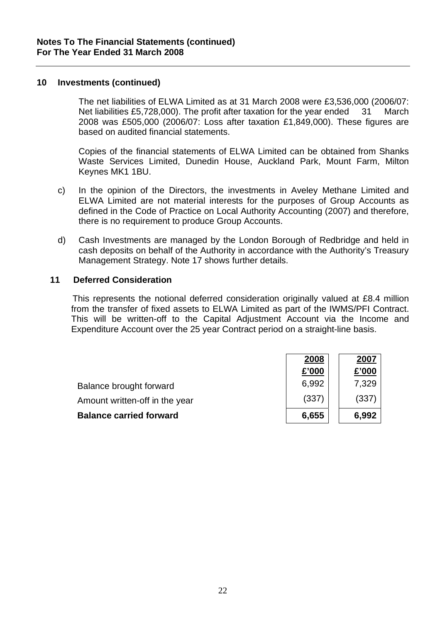#### **10 Investments (continued)**

 The net liabilities of ELWA Limited as at 31 March 2008 were £3,536,000 (2006/07: Net liabilities £5,728,000). The profit after taxation for the year ended 31 March 2008 was £505,000 (2006/07: Loss after taxation £1,849,000). These figures are based on audited financial statements.

 Copies of the financial statements of ELWA Limited can be obtained from Shanks Waste Services Limited, Dunedin House, Auckland Park, Mount Farm, Milton Keynes MK1 1BU.

- c) In the opinion of the Directors, the investments in Aveley Methane Limited and ELWA Limited are not material interests for the purposes of Group Accounts as defined in the Code of Practice on Local Authority Accounting (2007) and therefore, there is no requirement to produce Group Accounts.
- d) Cash Investments are managed by the London Borough of Redbridge and held in cash deposits on behalf of the Authority in accordance with the Authority's Treasury Management Strategy. Note 17 shows further details.

## **11 Deferred Consideration**

 This represents the notional deferred consideration originally valued at £8.4 million from the transfer of fixed assets to ELWA Limited as part of the IWMS/PFI Contract. This will be written-off to the Capital Adjustment Account via the Income and Expenditure Account over the 25 year Contract period on a straight-line basis.

|                                | 2008  | 2007  |
|--------------------------------|-------|-------|
|                                | £'000 | £'000 |
| Balance brought forward        | 6,992 | 7,329 |
| Amount written-off in the year | (337) | (337) |
| <b>Balance carried forward</b> | 6,655 | 6,992 |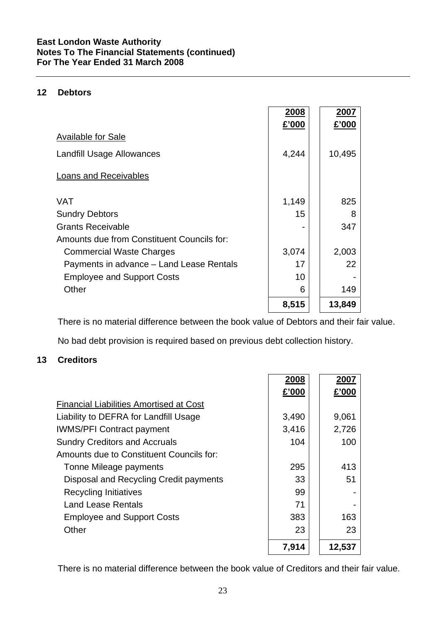# **East London Waste Authority Notes To The Financial Statements (continued) For The Year Ended 31 March 2008**

# **12 Debtors**

|                                            | <u> 2008</u><br>£'000 | <u>2007</u><br>£'000 |
|--------------------------------------------|-----------------------|----------------------|
| <b>Available for Sale</b>                  |                       |                      |
| <b>Landfill Usage Allowances</b>           | 4,244                 | 10,495               |
| Loans and Receivables                      |                       |                      |
| <b>VAT</b>                                 | 1,149                 | 825                  |
| <b>Sundry Debtors</b>                      | 15                    | 8                    |
| <b>Grants Receivable</b>                   |                       | 347                  |
| Amounts due from Constituent Councils for: |                       |                      |
| <b>Commercial Waste Charges</b>            | 3,074                 | 2,003                |
| Payments in advance - Land Lease Rentals   | 17                    | 22                   |
| <b>Employee and Support Costs</b>          | 10                    |                      |
| Other                                      | 6                     | 149                  |
|                                            | 8,515                 | 13,849               |

There is no material difference between the book value of Debtors and their fair value.

No bad debt provision is required based on previous debt collection history.

# **13 Creditors**

|                                                | 2008  | 2007   |
|------------------------------------------------|-------|--------|
|                                                | £'000 | £'000  |
| <b>Financial Liabilities Amortised at Cost</b> |       |        |
| Liability to DEFRA for Landfill Usage          | 3,490 | 9,061  |
| <b>IWMS/PFI Contract payment</b>               | 3,416 | 2,726  |
| <b>Sundry Creditors and Accruals</b>           | 104   | 100    |
| Amounts due to Constituent Councils for:       |       |        |
| Tonne Mileage payments                         | 295   | 413    |
| Disposal and Recycling Credit payments         | 33    | 51     |
| <b>Recycling Initiatives</b>                   | 99    |        |
| Land Lease Rentals                             | 71    |        |
| <b>Employee and Support Costs</b>              | 383   | 163    |
| Other                                          | 23    | 23     |
|                                                | 7,914 | 12,537 |

There is no material difference between the book value of Creditors and their fair value.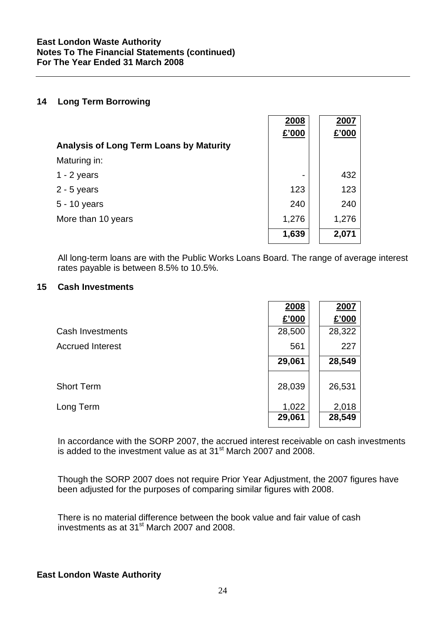#### **14 Long Term Borrowing**

|                                                | 2008                     | 2007  |
|------------------------------------------------|--------------------------|-------|
|                                                | £'000                    | £'000 |
| <b>Analysis of Long Term Loans by Maturity</b> |                          |       |
| Maturing in:                                   |                          |       |
| $1 - 2$ years                                  | $\overline{\phantom{0}}$ | 432   |
| $2 - 5$ years                                  | 123                      | 123   |
| 5 - 10 years                                   | 240                      | 240   |
| More than 10 years                             | 1,276                    | 1,276 |
|                                                | 1,639                    | 2,071 |

All long-term loans are with the Public Works Loans Board. The range of average interest rates payable is between 8.5% to 10.5%.

#### **15 Cash Investments**

|                         | 2008   | 2007   |
|-------------------------|--------|--------|
|                         | £'000  | £'000  |
| Cash Investments        | 28,500 | 28,322 |
| <b>Accrued Interest</b> | 561    | 227    |
|                         | 29,061 | 28,549 |
| <b>Short Term</b>       | 28,039 | 26,531 |
| Long Term               | 1,022  | 2,018  |
|                         | 29,061 | 28,549 |

In accordance with the SORP 2007, the accrued interest receivable on cash investments is added to the investment value as at 31 $^{\rm st}$  March 2007 and 2008.

Though the SORP 2007 does not require Prior Year Adjustment, the 2007 figures have been adjusted for the purposes of comparing similar figures with 2008.

There is no material difference between the book value and fair value of cash investments as at 31st March 2007 and 2008.

## **East London Waste Authority**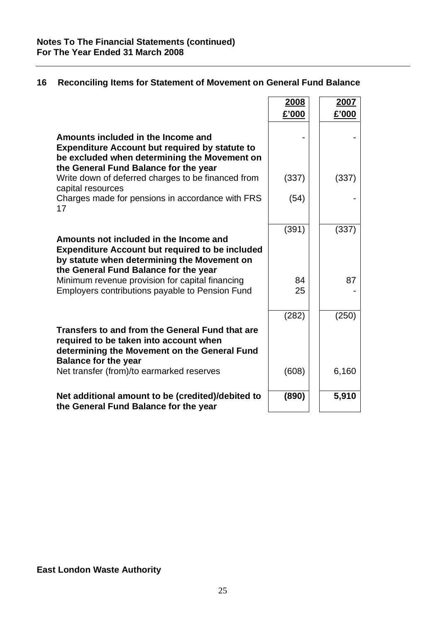|                                                                                                                                                                                          | 2008     | 2007  |
|------------------------------------------------------------------------------------------------------------------------------------------------------------------------------------------|----------|-------|
|                                                                                                                                                                                          | £'000    | £'000 |
| Amounts included in the Income and<br><b>Expenditure Account but required by statute to</b><br>be excluded when determining the Movement on<br>the General Fund Balance for the year     |          |       |
| Write down of deferred charges to be financed from                                                                                                                                       | (337)    | (337) |
| capital resources<br>Charges made for pensions in accordance with FRS<br>17                                                                                                              | (54)     |       |
| Amounts not included in the Income and<br><b>Expenditure Account but required to be included</b><br>by statute when determining the Movement on<br>the General Fund Balance for the year | (391)    | (337) |
| Minimum revenue provision for capital financing<br>Employers contributions payable to Pension Fund                                                                                       | 84<br>25 | 87    |
|                                                                                                                                                                                          | (282)    | (250) |
| Transfers to and from the General Fund that are<br>required to be taken into account when<br>determining the Movement on the General Fund<br><b>Balance for the year</b>                 |          |       |
| Net transfer (from)/to earmarked reserves                                                                                                                                                | (608)    | 6,160 |
| Net additional amount to be (credited)/debited to<br>the General Fund Balance for the year                                                                                               | (890)    | 5,910 |

# **16 Reconciling Items for Statement of Movement on General Fund Balance**

# **East London Waste Authority**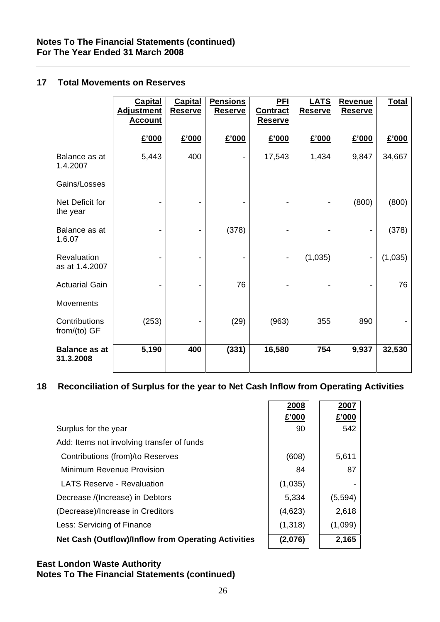## **17 Total Movements on Reserves**

|                                   | <b>Capital</b><br><b>Adjustment</b><br><b>Account</b> | <b>Capital</b><br><b>Reserve</b> | <b>Pensions</b><br><b>Reserve</b> | <b>PFI</b><br><b>Contract</b><br><b>Reserve</b> | <b>LATS</b><br><b>Reserve</b> | <b>Revenue</b><br><b>Reserve</b> | <b>Total</b> |
|-----------------------------------|-------------------------------------------------------|----------------------------------|-----------------------------------|-------------------------------------------------|-------------------------------|----------------------------------|--------------|
|                                   | £'000                                                 | £'000                            | £'000                             | £'000                                           | £'000                         | £'000                            | £'000        |
| Balance as at<br>1.4.2007         | 5,443                                                 | 400                              |                                   | 17,543                                          | 1,434                         | 9,847                            | 34,667       |
| Gains/Losses                      |                                                       |                                  |                                   |                                                 |                               |                                  |              |
| Net Deficit for<br>the year       |                                                       |                                  |                                   |                                                 |                               | (800)                            | (800)        |
| Balance as at<br>1.6.07           | $\overline{a}$                                        | $\blacksquare$                   | (378)                             |                                                 |                               | -                                | (378)        |
| Revaluation<br>as at 1.4.2007     |                                                       |                                  |                                   |                                                 | (1,035)                       | $\qquad \qquad \blacksquare$     | (1,035)      |
| <b>Actuarial Gain</b>             | $\overline{a}$                                        | $\overline{\phantom{a}}$         | 76                                |                                                 |                               |                                  | 76           |
| <b>Movements</b>                  |                                                       |                                  |                                   |                                                 |                               |                                  |              |
| Contributions<br>from/(to) GF     | (253)                                                 |                                  | (29)                              | (963)                                           | 355                           | 890                              |              |
| <b>Balance as at</b><br>31.3.2008 | 5,190                                                 | 400                              | (331)                             | 16,580                                          | 754                           | 9,937                            | 32,530       |

# **18 Reconciliation of Surplus for the year to Net Cash Inflow from Operating Activities**

|                                                     | 2008<br>£'000 | 2007<br>£'000 |
|-----------------------------------------------------|---------------|---------------|
| Surplus for the year                                | 90            | 542           |
| Add: Items not involving transfer of funds          |               |               |
| Contributions (from)/to Reserves                    | (608)         | 5,611         |
| Minimum Revenue Provision                           | 84            | 87            |
| <b>LATS Reserve - Revaluation</b>                   | (1,035)       |               |
| Decrease /(Increase) in Debtors                     | 5,334         | (5,594)       |
| (Decrease)/Increase in Creditors                    | (4,623)       | 2,618         |
| Less: Servicing of Finance                          | (1,318)       | (1,099)       |
| Net Cash (Outflow)/Inflow from Operating Activities | (2,076)       | 2,165         |

## **East London Waste Authority Notes To The Financial Statements (continued)**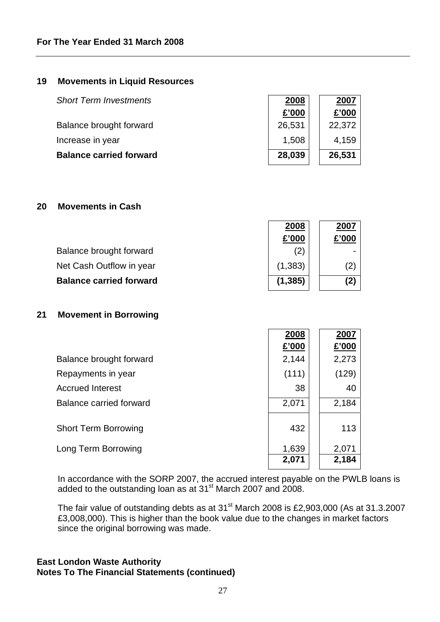# **19 Movements in Liquid Resources**

| <b>Short Term Investments</b>  | 2008   | 2007   |
|--------------------------------|--------|--------|
|                                | £'000  | £'000  |
| Balance brought forward        | 26,531 | 22,372 |
| Increase in year               | 1,508  | 4,159  |
| <b>Balance carried forward</b> | 28,039 | 26,531 |

# **20 Movements in Cash**

|                                | 2008     | 2007              |
|--------------------------------|----------|-------------------|
|                                | £'000    | £'000             |
| Balance brought forward        | 2)       |                   |
| Net Cash Outflow in year       | (1, 383) | $\left( 2\right)$ |
| <b>Balance carried forward</b> | (1, 385) | (2)               |

## **21 Movement in Borrowing**

|                             | 2008  | 2007  |
|-----------------------------|-------|-------|
|                             | £'000 | £'000 |
| Balance brought forward     | 2,144 | 2,273 |
| Repayments in year          | (111) | (129) |
| <b>Accrued Interest</b>     | 38    | 40    |
| Balance carried forward     | 2,071 | 2,184 |
| <b>Short Term Borrowing</b> | 432   | 113   |
| Long Term Borrowing         | 1,639 | 2,071 |
|                             | 2,071 | 2,184 |

In accordance with the SORP 2007, the accrued interest payable on the PWLB loans is added to the outstanding loan as at  $31<sup>st</sup>$  March 2007 and 2008.

The fair value of outstanding debts as at 31<sup>st</sup> March 2008 is £2,903,000 (As at 31.3.2007 £3,008,000). This is higher than the book value due to the changes in market factors since the original borrowing was made.

# **East London Waste Authority Notes To The Financial Statements (continued)**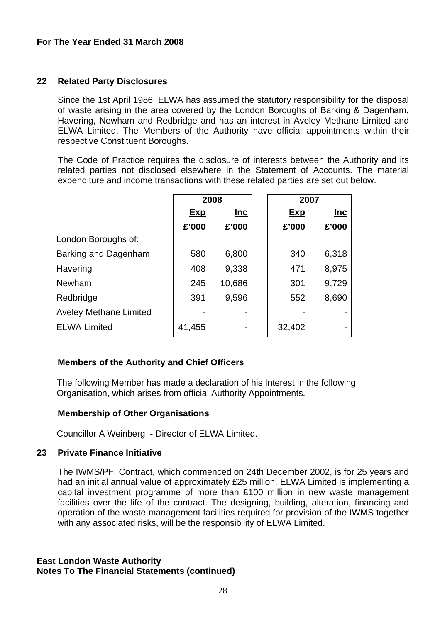#### **22 Related Party Disclosures**

Since the 1st April 1986, ELWA has assumed the statutory responsibility for the disposal of waste arising in the area covered by the London Boroughs of Barking & Dagenham, Havering, Newham and Redbridge and has an interest in Aveley Methane Limited and ELWA Limited. The Members of the Authority have official appointments within their respective Constituent Boroughs.

The Code of Practice requires the disclosure of interests between the Authority and its related parties not disclosed elsewhere in the Statement of Accounts. The material expenditure and income transactions with these related parties are set out below.

|                               | 2008       |        | 2007       |            |
|-------------------------------|------------|--------|------------|------------|
|                               | <u>Exp</u> | $Inc$  | <b>Exp</b> | <u>Inc</u> |
|                               | £'000      | £'000  | £'000      | £'000      |
| London Boroughs of:           |            |        |            |            |
| Barking and Dagenham          | 580        | 6,800  | 340        | 6,318      |
| Havering                      | 408        | 9,338  | 471        | 8,975      |
| Newham                        | 245        | 10,686 | 301        | 9,729      |
| Redbridge                     | 391        | 9,596  | 552        | 8,690      |
| <b>Aveley Methane Limited</b> |            |        |            |            |
| <b>ELWA Limited</b>           | 41,455     |        | 32,402     |            |

## **Members of the Authority and Chief Officers**

The following Member has made a declaration of his Interest in the following Organisation, which arises from official Authority Appointments.

#### **Membership of Other Organisations**

Councillor A Weinberg - Director of ELWA Limited.

#### **23 Private Finance Initiative**

The IWMS/PFI Contract, which commenced on 24th December 2002, is for 25 years and had an initial annual value of approximately £25 million. ELWA Limited is implementing a capital investment programme of more than £100 million in new waste management facilities over the life of the contract. The designing, building, alteration, financing and operation of the waste management facilities required for provision of the IWMS together with any associated risks, will be the responsibility of ELWA Limited.

# **East London Waste Authority Notes To The Financial Statements (continued)**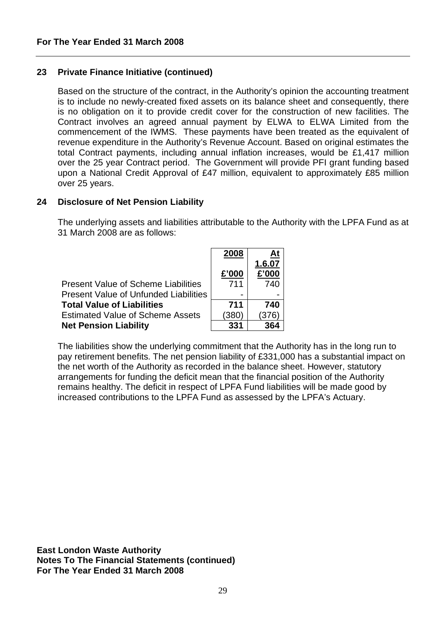# **23 Private Finance Initiative (continued)**

Based on the structure of the contract, in the Authority's opinion the accounting treatment is to include no newly-created fixed assets on its balance sheet and consequently, there is no obligation on it to provide credit cover for the construction of new facilities. The Contract involves an agreed annual payment by ELWA to ELWA Limited from the commencement of the IWMS. These payments have been treated as the equivalent of revenue expenditure in the Authority's Revenue Account. Based on original estimates the total Contract payments, including annual inflation increases, would be £1,417 million over the 25 year Contract period. The Government will provide PFI grant funding based upon a National Credit Approval of £47 million, equivalent to approximately £85 million over 25 years.

## **24 Disclosure of Net Pension Liability**

The underlying assets and liabilities attributable to the Authority with the LPFA Fund as at 31 March 2008 are as follows:

|                                              | 2008  | <u>At</u> |
|----------------------------------------------|-------|-----------|
|                                              |       | 1.6.07    |
|                                              | £'000 | £'000     |
| <b>Present Value of Scheme Liabilities</b>   | 711   | 740       |
| <b>Present Value of Unfunded Liabilities</b> |       |           |
| <b>Total Value of Liabilities</b>            | 711   | 740       |
| <b>Estimated Value of Scheme Assets</b>      | (380) | 376       |
| <b>Net Pension Liability</b>                 | 331   | 364       |

The liabilities show the underlying commitment that the Authority has in the long run to pay retirement benefits. The net pension liability of £331,000 has a substantial impact on the net worth of the Authority as recorded in the balance sheet. However, statutory arrangements for funding the deficit mean that the financial position of the Authority remains healthy. The deficit in respect of LPFA Fund liabilities will be made good by increased contributions to the LPFA Fund as assessed by the LPFA's Actuary.

**East London Waste Authority Notes To The Financial Statements (continued) For The Year Ended 31 March 2008**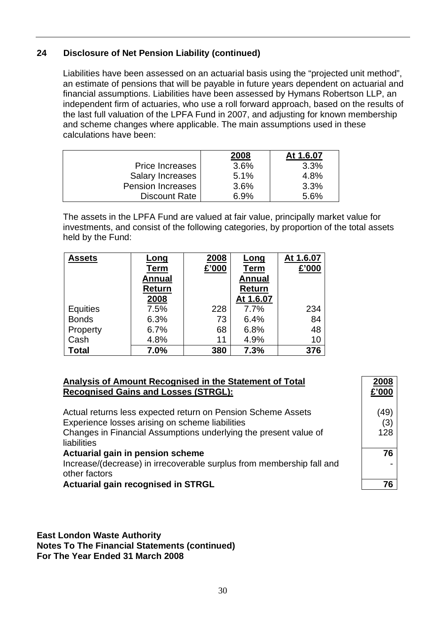# **24 Disclosure of Net Pension Liability (continued)**

Liabilities have been assessed on an actuarial basis using the "projected unit method", an estimate of pensions that will be payable in future years dependent on actuarial and financial assumptions. Liabilities have been assessed by Hymans Robertson LLP, an independent firm of actuaries, who use a roll forward approach, based on the results of the last full valuation of the LPFA Fund in 2007, and adjusting for known membership and scheme changes where applicable. The main assumptions used in these calculations have been:

|                          | 2008 | At 1.6.07 |
|--------------------------|------|-----------|
| <b>Price Increases</b>   | 3.6% | 3.3%      |
| Salary Increases         | 5.1% | 4.8%      |
| <b>Pension Increases</b> | 3.6% | 3.3%      |
| Discount Rate            | 6.9% | 5.6%      |

The assets in the LPFA Fund are valued at fair value, principally market value for investments, and consist of the following categories, by proportion of the total assets held by the Fund:

| <b>Assets</b>   | <u>Long</u>   | 2008  | <u>Long</u>   | At 1.6.07 |
|-----------------|---------------|-------|---------------|-----------|
|                 | <b>Term</b>   | £'000 | <b>Term</b>   | £'000     |
|                 | <b>Annual</b> |       | <b>Annual</b> |           |
|                 | Return        |       | <b>Return</b> |           |
|                 | 2008          |       | At 1.6.07     |           |
| <b>Equities</b> | 7.5%          | 228   | 7.7%          | 234       |
| <b>Bonds</b>    | 6.3%          | 73    | 6.4%          | 84        |
| Property        | 6.7%          | 68    | 6.8%          | 48        |
| Cash            | 4.8%          | 11    | 4.9%          | 10        |
| <b>Total</b>    | 7.0%          | 380   | 7.3%          | 376       |

## **Analysis of Amount Recognised in the Statement of Total Recognised Gains and Losses (STRGL):**

Actual returns less expected return on Pension Scheme Assets (49) Experience losses arising on scheme liabilities (3)

Changes in Financial Assumptions underlying the present value of liabilities

#### Actuarial gain in pension scheme **76** and 10 and 10 and 10 and 10 and 10 and 10 and 10 and 10 and 10 and 10 and 10 and 10 and 10 and 10 and 10 and 10 and 10 and 10 and 10 and 10 and 10 and 10 and 10 and 10 and 10 and 10 an

Increase/(decrease) in irrecoverable surplus from membership fall and other factors

Actuarial gain recognised in STRGL **1986 1997 12:30 12:30 12:30 12:30 12:30 12:30 12:30 12:30 12:30 12:30 12:30** 

## **East London Waste Authority Notes To The Financial Statements (continued) For The Year Ended 31 March 2008**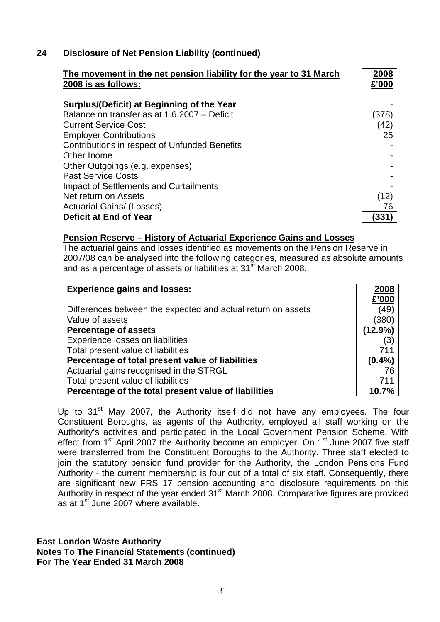# **24 Disclosure of Net Pension Liability (continued)**

| The movement in the net pension liability for the year to 31 March<br>2008 is as follows:                                 | 2008<br>£'000            |
|---------------------------------------------------------------------------------------------------------------------------|--------------------------|
| Surplus/(Deficit) at Beginning of the Year<br>Balance on transfer as at 1.6.2007 - Deficit<br><b>Current Service Cost</b> | (378)<br>(42)            |
| <b>Employer Contributions</b><br>Contributions in respect of Unfunded Benefits<br>Other Inome                             | 25                       |
| Other Outgoings (e.g. expenses)<br><b>Past Service Costs</b><br>Impact of Settlements and Curtailments                    |                          |
| Net return on Assets<br><b>Actuarial Gains/ (Losses)</b><br>Deficit at End of Year                                        | (12)<br>76<br><b>331</b> |

#### **Pension Reserve – History of Actuarial Experience Gains and Losses**

The actuarial gains and losses identified as movements on the Pension Reserve in 2007/08 can be analysed into the following categories, measured as absolute amounts and as a percentage of assets or liabilities at 31<sup>st</sup> March 2008.

| <b>Experience gains and losses:</b>                          | 2008      |
|--------------------------------------------------------------|-----------|
|                                                              | £'000     |
| Differences between the expected and actual return on assets | (49)      |
| Value of assets                                              | (380)     |
| <b>Percentage of assets</b>                                  | (12.9%)   |
| Experience losses on liabilities                             | (3)       |
| Total present value of liabilities                           | 711       |
| Percentage of total present value of liabilities             | $(0.4\%)$ |
| Actuarial gains recognised in the STRGL                      | 76        |
| Total present value of liabilities                           | 711       |
| Percentage of the total present value of liabilities         | 10.7%     |

Up to 31<sup>st</sup> May 2007, the Authority itself did not have any employees. The four Constituent Boroughs, as agents of the Authority, employed all staff working on the Authority's activities and participated in the Local Government Pension Scheme. With effect from 1<sup>st</sup> April 2007 the Authority become an employer. On 1<sup>st</sup> June 2007 five staff were transferred from the Constituent Boroughs to the Authority. Three staff elected to join the statutory pension fund provider for the Authority, the London Pensions Fund Authority - the current membership is four out of a total of six staff. Consequently, there are significant new FRS 17 pension accounting and disclosure requirements on this Authority in respect of the year ended 31<sup>st</sup> March 2008. Comparative figures are provided as at  $1^{st}$  June 2007 where available.

## **East London Waste Authority**

**Notes To The Financial Statements (continued) For The Year Ended 31 March 2008**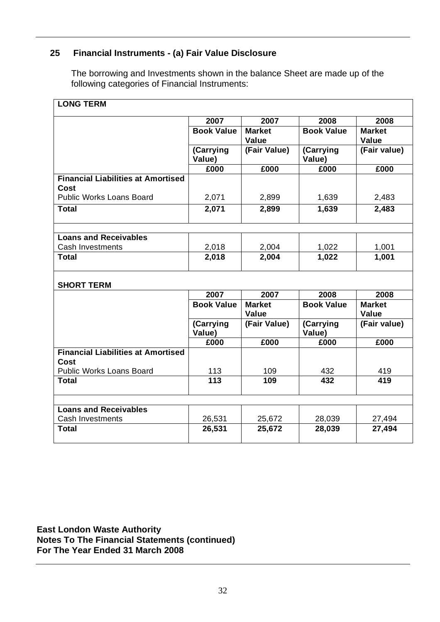# **25 Financial Instruments - (a) Fair Value Disclosure**

The borrowing and Investments shown in the balance Sheet are made up of the following categories of Financial Instruments:

| 2007<br>2007<br>2008<br><b>Book Value</b><br><b>Book Value</b><br><b>Market</b><br><b>Value</b><br>Value<br>(Carrying<br>(Fair Value)<br>(Carrying<br>Value)<br>Value)<br>£000<br>£000<br>£000<br><b>Financial Liabilities at Amortised</b><br>Cost<br><b>Public Works Loans Board</b><br>2,071<br>2,899<br>1,639<br>1,639<br><b>Total</b><br>2,071<br>2,899<br><b>Loans and Receivables</b><br>Cash Investments<br>2,004<br>2,018<br>1,022<br>2,018<br>2,004<br><b>Total</b><br>1,022<br><b>SHORT TERM</b><br>2007<br>2007<br>2008<br><b>Book Value</b><br><b>Book Value</b><br><b>Market</b><br><b>Value</b><br>Value<br>(Carrying<br>(Fair Value)<br>(Carrying<br>Value)<br>Value)<br>£000<br>£000<br>£000<br><b>Financial Liabilities at Amortised</b><br>Cost<br>Public Works Loans Board<br>113<br>432<br>109<br>113<br>432<br><b>Total</b><br>109<br><b>Loans and Receivables</b> | <b>LONG TERM</b> |  |               |
|------------------------------------------------------------------------------------------------------------------------------------------------------------------------------------------------------------------------------------------------------------------------------------------------------------------------------------------------------------------------------------------------------------------------------------------------------------------------------------------------------------------------------------------------------------------------------------------------------------------------------------------------------------------------------------------------------------------------------------------------------------------------------------------------------------------------------------------------------------------------------------------|------------------|--|---------------|
|                                                                                                                                                                                                                                                                                                                                                                                                                                                                                                                                                                                                                                                                                                                                                                                                                                                                                          |                  |  | 2008          |
|                                                                                                                                                                                                                                                                                                                                                                                                                                                                                                                                                                                                                                                                                                                                                                                                                                                                                          |                  |  | <b>Market</b> |
|                                                                                                                                                                                                                                                                                                                                                                                                                                                                                                                                                                                                                                                                                                                                                                                                                                                                                          |                  |  | (Fair value)  |
|                                                                                                                                                                                                                                                                                                                                                                                                                                                                                                                                                                                                                                                                                                                                                                                                                                                                                          |                  |  | £000          |
|                                                                                                                                                                                                                                                                                                                                                                                                                                                                                                                                                                                                                                                                                                                                                                                                                                                                                          |                  |  |               |
|                                                                                                                                                                                                                                                                                                                                                                                                                                                                                                                                                                                                                                                                                                                                                                                                                                                                                          |                  |  | 2,483         |
|                                                                                                                                                                                                                                                                                                                                                                                                                                                                                                                                                                                                                                                                                                                                                                                                                                                                                          |                  |  | 2,483         |
|                                                                                                                                                                                                                                                                                                                                                                                                                                                                                                                                                                                                                                                                                                                                                                                                                                                                                          |                  |  |               |
|                                                                                                                                                                                                                                                                                                                                                                                                                                                                                                                                                                                                                                                                                                                                                                                                                                                                                          |                  |  | 1,001         |
|                                                                                                                                                                                                                                                                                                                                                                                                                                                                                                                                                                                                                                                                                                                                                                                                                                                                                          |                  |  | 1,001         |
|                                                                                                                                                                                                                                                                                                                                                                                                                                                                                                                                                                                                                                                                                                                                                                                                                                                                                          |                  |  |               |
|                                                                                                                                                                                                                                                                                                                                                                                                                                                                                                                                                                                                                                                                                                                                                                                                                                                                                          |                  |  | 2008          |
|                                                                                                                                                                                                                                                                                                                                                                                                                                                                                                                                                                                                                                                                                                                                                                                                                                                                                          |                  |  | <b>Market</b> |
|                                                                                                                                                                                                                                                                                                                                                                                                                                                                                                                                                                                                                                                                                                                                                                                                                                                                                          |                  |  | (Fair value)  |
|                                                                                                                                                                                                                                                                                                                                                                                                                                                                                                                                                                                                                                                                                                                                                                                                                                                                                          |                  |  | £000          |
|                                                                                                                                                                                                                                                                                                                                                                                                                                                                                                                                                                                                                                                                                                                                                                                                                                                                                          |                  |  |               |
|                                                                                                                                                                                                                                                                                                                                                                                                                                                                                                                                                                                                                                                                                                                                                                                                                                                                                          |                  |  | 419           |
|                                                                                                                                                                                                                                                                                                                                                                                                                                                                                                                                                                                                                                                                                                                                                                                                                                                                                          |                  |  | 419           |
|                                                                                                                                                                                                                                                                                                                                                                                                                                                                                                                                                                                                                                                                                                                                                                                                                                                                                          |                  |  |               |
| <b>Cash Investments</b><br>26,531<br>28,039<br>25,672                                                                                                                                                                                                                                                                                                                                                                                                                                                                                                                                                                                                                                                                                                                                                                                                                                    |                  |  | 27,494        |
| 26,531<br>25,672<br>28,039<br><b>Total</b>                                                                                                                                                                                                                                                                                                                                                                                                                                                                                                                                                                                                                                                                                                                                                                                                                                               |                  |  | 27,494        |

**East London Waste Authority Notes To The Financial Statements (continued) For The Year Ended 31 March 2008**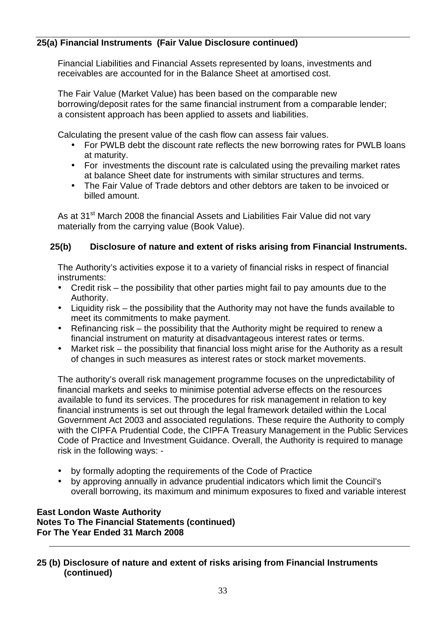# **25(a)Financial Instruments (Fair Value Disclosure continued)**

Financial Liabilities and Financial Assets represented by loans, investments and receivables are accounted for in the Balance Sheet at amortised cost.

The Fair Value (Market Value) has been based on the comparable new borrowing/deposit rates for the same financial instrument from a comparable lender; a consistent approach has been applied to assets and liabilities.

Calculating the present value of the cash flow can assess fair values.

- For PWLB debt the discount rate reflects the new borrowing rates for PWLB loans at maturity.
- For investments the discount rate is calculated using the prevailing market rates at balance Sheet date for instruments with similar structures and terms.
- The Fair Value of Trade debtors and other debtors are taken to be invoiced or billed amount.

As at 31<sup>st</sup> March 2008 the financial Assets and Liabilities Fair Value did not vary materially from the carrying value (Book Value).

# **25(b) Disclosure of nature and extent of risks arising from Financial Instruments.**

The Authority's activities expose it to a variety of financial risks in respect of financial instruments:

- Credit risk the possibility that other parties might fail to pay amounts due to the Authority.
- Liquidity risk the possibility that the Authority may not have the funds available to meet its commitments to make payment.
- Refinancing risk the possibility that the Authority might be required to renew a financial instrument on maturity at disadvantageous interest rates or terms.
- Market risk the possibility that financial loss might arise for the Authority as a result of changes in such measures as interest rates or stock market movements.

The authority's overall risk management programme focuses on the unpredictability of financial markets and seeks to minimise potential adverse effects on the resources available to fund its services. The procedures for risk management in relation to key financial instruments is set out through the legal framework detailed within the Local Government Act 2003 and associated regulations. These require the Authority to comply with the CIPFA Prudential Code, the CIPFA Treasury Management in the Public Services Code of Practice and Investment Guidance. Overall, the Authority is required to manage risk in the following ways: -

- by formally adopting the requirements of the Code of Practice
- by approving annually in advance prudential indicators which limit the Council's overall borrowing, its maximum and minimum exposures to fixed and variable interest

# **East London Waste Authority Notes To The Financial Statements (continued) For The Year Ended 31 March 2008**

**25 (b) Disclosure of nature and extent of risks arising from Financial Instruments (continued)**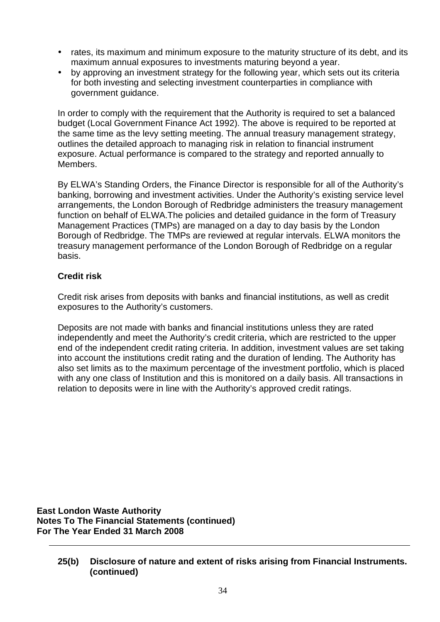- rates, its maximum and minimum exposure to the maturity structure of its debt, and its maximum annual exposures to investments maturing beyond a year.
- by approving an investment strategy for the following year, which sets out its criteria for both investing and selecting investment counterparties in compliance with government guidance.

In order to comply with the requirement that the Authority is required to set a balanced budget (Local Government Finance Act 1992). The above is required to be reported at the same time as the levy setting meeting. The annual treasury management strategy, outlines the detailed approach to managing risk in relation to financial instrument exposure. Actual performance is compared to the strategy and reported annually to Members.

By ELWA's Standing Orders, the Finance Director is responsible for all of the Authority's banking, borrowing and investment activities. Under the Authority's existing service level arrangements, the London Borough of Redbridge administers the treasury management function on behalf of ELWA.The policies and detailed guidance in the form of Treasury Management Practices (TMPs) are managed on a day to day basis by the London Borough of Redbridge. The TMPs are reviewed at regular intervals. ELWA monitors the treasury management performance of the London Borough of Redbridge on a regular basis.

# **Credit risk**

Credit risk arises from deposits with banks and financial institutions, as well as credit exposures to the Authority's customers.

Deposits are not made with banks and financial institutions unless they are rated independently and meet the Authority's credit criteria, which are restricted to the upper end of the independent credit rating criteria. In addition, investment values are set taking into account the institutions credit rating and the duration of lending. The Authority has also set limits as to the maximum percentage of the investment portfolio, which is placed with any one class of Institution and this is monitored on a daily basis. All transactions in relation to deposits were in line with the Authority's approved credit ratings.

**East London Waste Authority Notes To The Financial Statements (continued) For The Year Ended 31 March 2008** 

**<sup>25(</sup>b) Disclosure of nature and extent of risks arising from Financial Instruments. (continued)**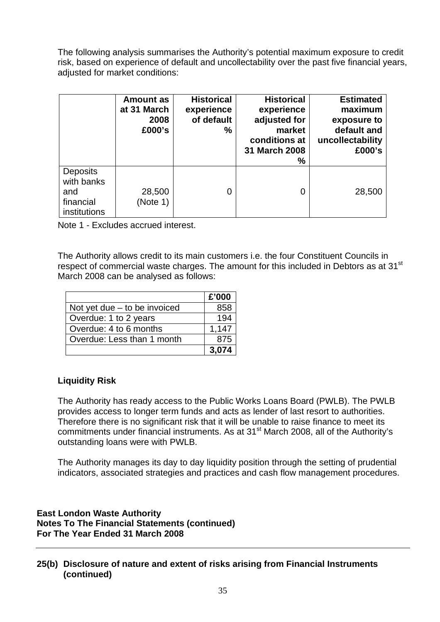The following analysis summarises the Authority's potential maximum exposure to credit risk, based on experience of default and uncollectability over the past five financial years, adiusted for market conditions:

|                                                                   | Amount as<br>at 31 March<br>2008<br>£000's | <b>Historical</b><br>experience<br>of default<br>% | <b>Historical</b><br>experience<br>adjusted for<br>market<br>conditions at<br>31 March 2008<br>% | <b>Estimated</b><br>maximum<br>exposure to<br>default and<br>uncollectability<br>£000's |
|-------------------------------------------------------------------|--------------------------------------------|----------------------------------------------------|--------------------------------------------------------------------------------------------------|-----------------------------------------------------------------------------------------|
| <b>Deposits</b><br>with banks<br>and<br>financial<br>institutions | 28,500<br>(Note 1)                         | 0                                                  | 0                                                                                                | 28,500                                                                                  |

Note 1 - Excludes accrued interest.

The Authority allows credit to its main customers i.e. the four Constituent Councils in respect of commercial waste charges. The amount for this included in Debtors as at 31<sup>st</sup> March 2008 can be analysed as follows:

|                                | £'000 |
|--------------------------------|-------|
| Not yet due $-$ to be invoiced | 858   |
| Overdue: 1 to 2 years          | 194   |
| Overdue: 4 to 6 months         | 1,147 |
| Overdue: Less than 1 month     | 875   |
|                                | 3,074 |

# **Liquidity Risk**

The Authority has ready access to the Public Works Loans Board (PWLB). The PWLB provides access to longer term funds and acts as lender of last resort to authorities. Therefore there is no significant risk that it will be unable to raise finance to meet its commitments under financial instruments. As at 31<sup>st</sup> March 2008, all of the Authority's outstanding loans were with PWLB.

The Authority manages its day to day liquidity position through the setting of prudential indicators, associated strategies and practices and cash flow management procedures.

**East London Waste Authority Notes To The Financial Statements (continued) For The Year Ended 31 March 2008** 

# **25(b) Disclosure of nature and extent of risks arising from Financial Instruments (continued)**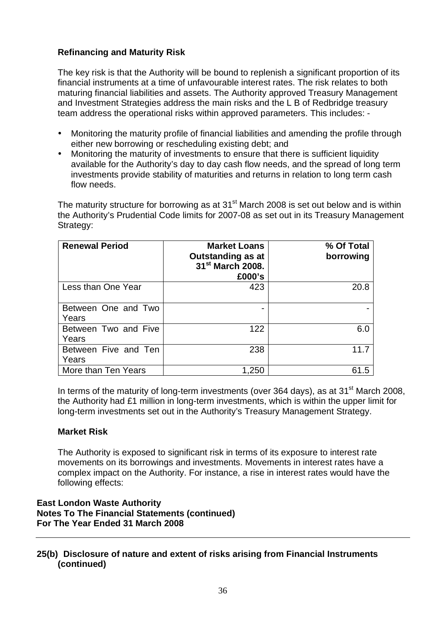# **Refinancing and Maturity Risk**

The key risk is that the Authority will be bound to replenish a significant proportion of its financial instruments at a time of unfavourable interest rates. The risk relates to both maturing financial liabilities and assets. The Authority approved Treasury Management and Investment Strategies address the main risks and the L B of Redbridge treasury team address the operational risks within approved parameters. This includes: -

- Monitoring the maturity profile of financial liabilities and amending the profile through either new borrowing or rescheduling existing debt; and
- Monitoring the maturity of investments to ensure that there is sufficient liquidity available for the Authority's day to day cash flow needs, and the spread of long term investments provide stability of maturities and returns in relation to long term cash flow needs.

The maturity structure for borrowing as at  $31<sup>st</sup>$  March 2008 is set out below and is within the Authority's Prudential Code limits for 2007-08 as set out in its Treasury Management Strategy:

| <b>Renewal Period</b>         | <b>Market Loans</b><br><b>Outstanding as at</b><br>31 <sup>st</sup> March 2008.<br>£000's | % Of Total<br>borrowing |
|-------------------------------|-------------------------------------------------------------------------------------------|-------------------------|
| Less than One Year            | 423                                                                                       | 20.8                    |
| Between One and Two<br>Years  |                                                                                           |                         |
| Between Two and Five<br>Years | 122                                                                                       | 6.0                     |
| Between Five and Ten<br>Years | 238                                                                                       | 11.7                    |
| More than Ten Years           | 1,250                                                                                     | 61.5                    |

In terms of the maturity of long-term investments (over 364 days), as at  $31<sup>st</sup>$  March 2008, the Authority had £1 million in long-term investments, which is within the upper limit for long-term investments set out in the Authority's Treasury Management Strategy.

## **Market Risk**

The Authority is exposed to significant risk in terms of its exposure to interest rate movements on its borrowings and investments. Movements in interest rates have a complex impact on the Authority. For instance, a rise in interest rates would have the following effects:

# **East London Waste Authority Notes To The Financial Statements (continued) For The Year Ended 31 March 2008**

# **25(b) Disclosure of nature and extent of risks arising from Financial Instruments (continued)**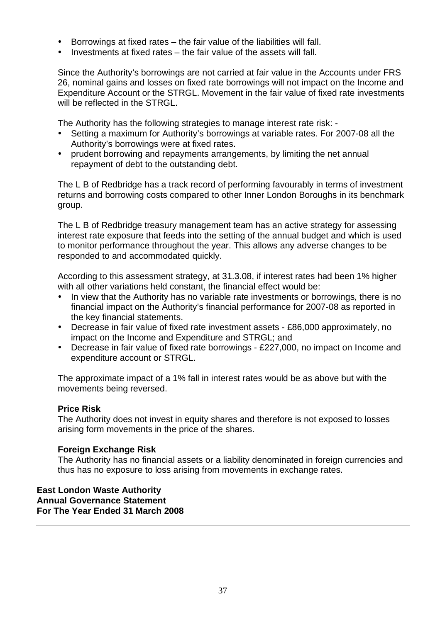- Borrowings at fixed rates the fair value of the liabilities will fall.
- Investments at fixed rates the fair value of the assets will fall.

Since the Authority's borrowings are not carried at fair value in the Accounts under FRS 26, nominal gains and losses on fixed rate borrowings will not impact on the Income and Expenditure Account or the STRGL. Movement in the fair value of fixed rate investments will be reflected in the STRGL.

The Authority has the following strategies to manage interest rate risk: -

- Setting a maximum for Authority's borrowings at variable rates. For 2007-08 all the Authority's borrowings were at fixed rates.
- prudent borrowing and repayments arrangements, by limiting the net annual repayment of debt to the outstanding debt.

The L B of Redbridge has a track record of performing favourably in terms of investment returns and borrowing costs compared to other Inner London Boroughs in its benchmark group.

The L B of Redbridge treasury management team has an active strategy for assessing interest rate exposure that feeds into the setting of the annual budget and which is used to monitor performance throughout the year. This allows any adverse changes to be responded to and accommodated quickly.

According to this assessment strategy, at 31.3.08, if interest rates had been 1% higher with all other variations held constant, the financial effect would be:

- In view that the Authority has no variable rate investments or borrowings, there is no financial impact on the Authority's financial performance for 2007-08 as reported in the key financial statements.
- Decrease in fair value of fixed rate investment assets £86,000 approximately, no impact on the Income and Expenditure and STRGL; and
- Decrease in fair value of fixed rate borrowings £227,000, no impact on Income and expenditure account or STRGL.

The approximate impact of a 1% fall in interest rates would be as above but with the movements being reversed.

## **Price Risk**

The Authority does not invest in equity shares and therefore is not exposed to losses arising form movements in the price of the shares.

## **Foreign Exchange Risk**

The Authority has no financial assets or a liability denominated in foreign currencies and thus has no exposure to loss arising from movements in exchange rates.

## **East London Waste Authority Annual Governance Statement For The Year Ended 31 March 2008**